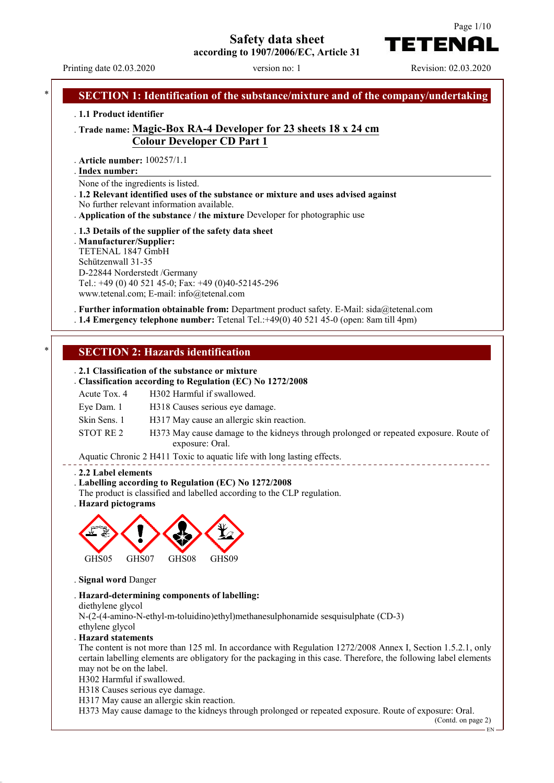**Safety data sheet**



**according to 1907/2006/EC, Article 31**

Printing date 02.03.2020 version no: 1 Revision: 02.03.2020

# **SECTION 1: Identification of the substance/mixture and of the company/undertaking** . **1.1 Product identifier** . **Trade name: Magic-Box RA-4 Developer for 23 sheets 18 x 24 cm Colour Developer CD Part 1** . **Article number:** 100257/1.1 **Index number:** . None of the ingredients is listed. . **1.2 Relevant identified uses of the substance or mixture and uses advised against** No further relevant information available. . **Application of the substance / the mixture** Developer for photographic use . **1.3 Details of the supplier of the safety data sheet** . **Manufacturer/Supplier:** TETENAL 1847 GmbH Schützenwall 31-35 D-22844 Norderstedt /Germany Tel.: +49 (0) 40 521 45-0; Fax: +49 (0)40-52145-296 www.tetenal.com; E-mail: info@tetenal.com . **Further information obtainable from:** Department product safety. E-Mail: sida@tetenal.com . **1.4 Emergency telephone number:** Tetenal Tel.:+49(0) 40 521 45-0 (open: 8am till 4pm) **SECTION 2: Hazards identification** . **2.1 Classification of the substance or mixture** . **Classification according to Regulation (EC) No 1272/2008** Acute Tox. 4 H302 Harmful if swallowed. Eye Dam. 1 H318 Causes serious eye damage. Skin Sens. 1 H317 May cause an allergic skin reaction. STOT RE 2 H373 May cause damage to the kidneys through prolonged or repeated exposure. Route of exposure: Oral. Aquatic Chronic 2 H411 Toxic to aquatic life with long lasting effects. . **2.2 Label elements** . **Labelling according to Regulation (EC) No 1272/2008** The product is classified and labelled according to the CLP regulation. . **Hazard pictograms** GHS05 GHS07 GHS08 GHS09 . **Signal word** Danger . **Hazard-determining components of labelling:** diethylene glycol N-(2-(4-amino-N-ethyl-m-toluidino)ethyl)methanesulphonamide sesquisulphate (CD-3) ethylene glycol . **Hazard statements** The content is not more than 125 ml. In accordance with Regulation 1272/2008 Annex I, Section 1.5.2.1, only certain labelling elements are obligatory for the packaging in this case. Therefore, the following label elements may not be on the label. H302 Harmful if swallowed. H318 Causes serious eye damage. H317 May cause an allergic skin reaction. H373 May cause damage to the kidneys through prolonged or repeated exposure. Route of exposure: Oral. (Contd. on page 2) EN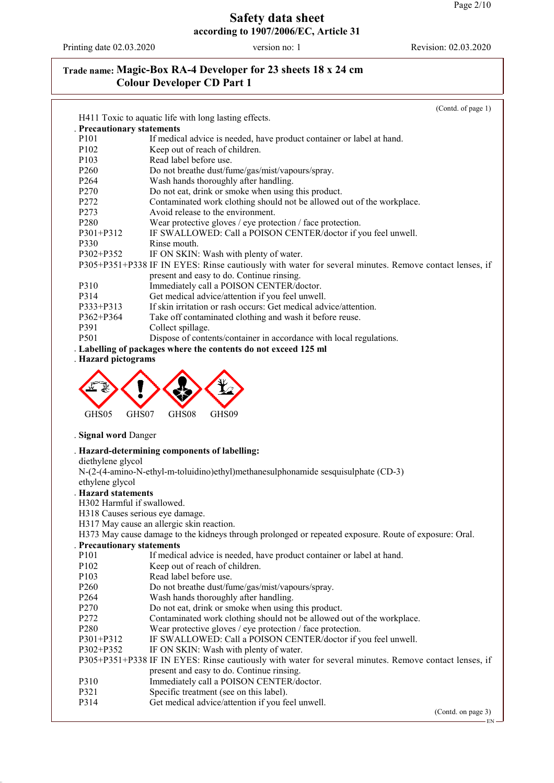Printing date 02.03.2020 version no: 1 Revision: 02.03.2020

# **Trade name: Magic-Box RA-4 Developer for 23 sheets 18 x 24 cm Colour Developer CD Part 1**

|                                 | (Contd. of page 1)                                                                                    |
|---------------------------------|-------------------------------------------------------------------------------------------------------|
|                                 | H411 Toxic to aquatic life with long lasting effects.                                                 |
| . Precautionary statements      |                                                                                                       |
| P <sub>10</sub> 1               | If medical advice is needed, have product container or label at hand.                                 |
| P102                            | Keep out of reach of children.                                                                        |
| P <sub>103</sub>                | Read label before use.                                                                                |
| P <sub>260</sub>                | Do not breathe dust/fume/gas/mist/vapours/spray.                                                      |
| P <sub>264</sub>                | Wash hands thoroughly after handling.                                                                 |
| P270                            | Do not eat, drink or smoke when using this product.                                                   |
| P272                            | Contaminated work clothing should not be allowed out of the workplace.                                |
| P273                            | Avoid release to the environment.                                                                     |
| P280                            | Wear protective gloves / eye protection / face protection.                                            |
| P301+P312                       | IF SWALLOWED: Call a POISON CENTER/doctor if you feel unwell.                                         |
| P330                            | Rinse mouth.                                                                                          |
| P302+P352                       | IF ON SKIN: Wash with plenty of water.                                                                |
|                                 | P305+P351+P338 IF IN EYES: Rinse cautiously with water for several minutes. Remove contact lenses, if |
|                                 | present and easy to do. Continue rinsing.                                                             |
| P310                            | Immediately call a POISON CENTER/doctor.                                                              |
| P314                            | Get medical advice/attention if you feel unwell.                                                      |
| P333+P313                       | If skin irritation or rash occurs: Get medical advice/attention.                                      |
| P362+P364                       | Take off contaminated clothing and wash it before reuse.                                              |
| P391                            | Collect spillage.                                                                                     |
| P501                            | Dispose of contents/container in accordance with local regulations.                                   |
|                                 | . Labelling of packages where the contents do not exceed 125 ml                                       |
| . Hazard pictograms             |                                                                                                       |
|                                 |                                                                                                       |
|                                 |                                                                                                       |
|                                 |                                                                                                       |
|                                 |                                                                                                       |
| GHS05<br>GHS07                  | GHS08<br>GHS09                                                                                        |
|                                 |                                                                                                       |
| . Signal word Danger            |                                                                                                       |
|                                 |                                                                                                       |
|                                 | . Hazard-determining components of labelling:                                                         |
| diethylene glycol               |                                                                                                       |
|                                 | N-(2-(4-amino-N-ethyl-m-toluidino)ethyl)methanesulphonamide sesquisulphate (CD-3)                     |
| ethylene glycol                 |                                                                                                       |
| <b>Hazard statements</b>        |                                                                                                       |
| H302 Harmful if swallowed.      |                                                                                                       |
| H318 Causes serious eye damage. |                                                                                                       |
|                                 | H317 May cause an allergic skin reaction.                                                             |
|                                 | H373 May cause damage to the kidneys through prolonged or repeated exposure. Route of exposure: Oral. |
| <b>Precautionary statements</b> |                                                                                                       |
| P <sub>10</sub> 1               | If medical advice is needed, have product container or label at hand.                                 |
| P102                            | Keep out of reach of children.                                                                        |
| P <sub>103</sub>                | Read label before use.                                                                                |
| P <sub>260</sub>                | Do not breathe dust/fume/gas/mist/vapours/spray.                                                      |
| P <sub>264</sub>                | Wash hands thoroughly after handling.                                                                 |
| P270                            | Do not eat, drink or smoke when using this product.                                                   |
| P272                            | Contaminated work clothing should not be allowed out of the workplace.                                |
| P280                            | Wear protective gloves / eye protection / face protection.                                            |
| P301+P312                       | IF SWALLOWED: Call a POISON CENTER/doctor if you feel unwell.                                         |
| P302+P352                       | IF ON SKIN: Wash with plenty of water.                                                                |
|                                 | P305+P351+P338 IF IN EYES: Rinse cautiously with water for several minutes. Remove contact lenses, if |
|                                 | present and easy to do. Continue rinsing.                                                             |
| P310                            | Immediately call a POISON CENTER/doctor.                                                              |
| P321                            | Specific treatment (see on this label).                                                               |
| P314                            | Get medical advice/attention if you feel unwell.                                                      |
|                                 | (Contd. on page 3)                                                                                    |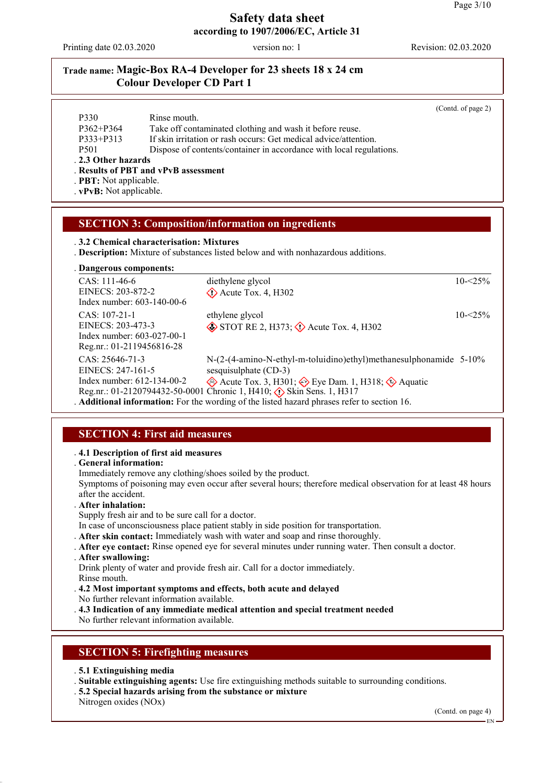Printing date 02.03.2020 version no: 1 Revision: 02.03.2020

### **Trade name: Magic-Box RA-4 Developer for 23 sheets 18 x 24 cm Colour Developer CD Part 1**

|                             |                                                                     | (Contd. of page 2) |
|-----------------------------|---------------------------------------------------------------------|--------------------|
| P330                        | Rinse mouth.                                                        |                    |
| $P362 + P364$               | Take off contaminated clothing and wash it before reuse.            |                    |
| P333+P313                   | If skin irritation or rash occurs: Get medical advice/attention.    |                    |
| P <sub>501</sub>            | Dispose of contents/container in accordance with local regulations. |                    |
| . 2.3 Other hazards         |                                                                     |                    |
|                             | . Results of PBT and vPvB assessment                                |                    |
| <b>PBT:</b> Not applicable. |                                                                     |                    |

. **vPvB:** Not applicable.

### **SECTION 3: Composition/information on ingredients**

. **3.2 Chemical characterisation: Mixtures**

. **Description:** Mixture of substances listed below and with nonhazardous additions.

|  |  |  | . Dangerous components: |
|--|--|--|-------------------------|
|--|--|--|-------------------------|

| $CAS: 111-46-6$                    | diethylene glycol                                                                                | $10 - 25\%$ |
|------------------------------------|--------------------------------------------------------------------------------------------------|-------------|
| EINECS: 203-872-2                  | $\Diamond$ Acute Tox. 4, H302                                                                    |             |
| Index number: $603-140-00-6$       |                                                                                                  |             |
| CAS: 107-21-1                      | ethylene glycol                                                                                  | $10 - 25\%$ |
| EINECS: 203-473-3                  | $\diamond$ STOT RE 2, H373; $\diamond$ Acute Tox. 4, H302                                        |             |
| Index number: 603-027-00-1         |                                                                                                  |             |
| Reg.nr.: 01-2119456816-28          |                                                                                                  |             |
| $CAS: 25646-71-3$                  | $N-(2-(4-amino-N-ethyl-m-toluidino)ethyl)$ methanes ulphonamide 5-10%                            |             |
| EINECS: 247-161-5                  | sesquisulphate (CD-3)                                                                            |             |
| Index number: $612 - 134 - 00 - 2$ | Acute Tox. 3, H301; $\leftrightarrow$ Eye Dam. 1, H318; $\leftrightarrow$ Aquatic                |             |
|                                    | Reg.nr.: 01-2120794432-50-0001 Chronic 1, H410; $\langle \cdot \rangle$ Skin Sens. 1, H317       |             |
|                                    | <b>Additional information:</b> For the wording of the listed hazard phrases refer to section 16. |             |

# **SECTION 4: First aid measures**

#### . **4.1 Description of first aid measures**

. **General information:**

Immediately remove any clothing/shoes soiled by the product.

Symptoms of poisoning may even occur after several hours; therefore medical observation for at least 48 hours after the accident.

- . **After inhalation:**
- Supply fresh air and to be sure call for a doctor.

In case of unconsciousness place patient stably in side position for transportation.

- . **After skin contact:** Immediately wash with water and soap and rinse thoroughly.
- . **After eye contact:** Rinse opened eye for several minutes under running water. Then consult a doctor.
- . **After swallowing:**

Drink plenty of water and provide fresh air. Call for a doctor immediately. Rinse mouth.

- . **4.2 Most important symptoms and effects, both acute and delayed** No further relevant information available.
- . **4.3 Indication of any immediate medical attention and special treatment needed**

No further relevant information available.

### **SECTION 5: Firefighting measures**

- . **5.1 Extinguishing media**
- . **Suitable extinguishing agents:** Use fire extinguishing methods suitable to surrounding conditions.
- . **5.2 Special hazards arising from the substance or mixture**

Nitrogen oxides (NOx)

(Contd. on page 4)

EN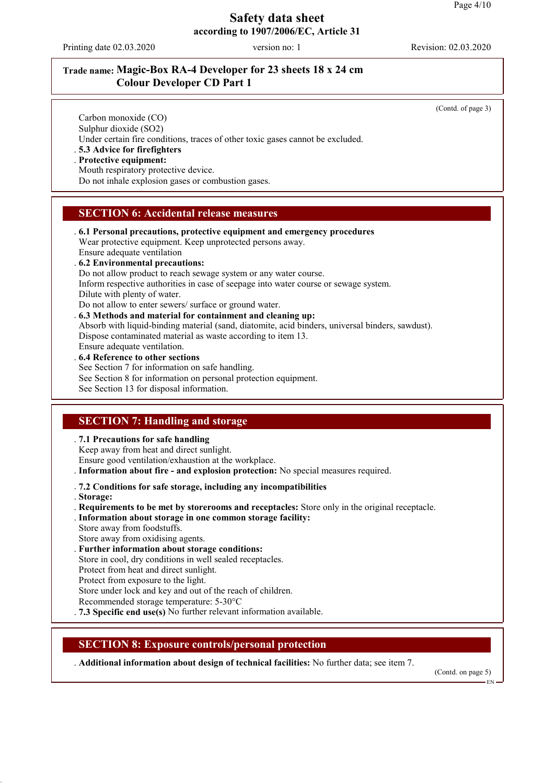Printing date 02.03.2020 version no: 1 Revision: 02.03.2020

# **Trade name: Magic-Box RA-4 Developer for 23 sheets 18 x 24 cm Colour Developer CD Part 1**

(Contd. of page 3)

Carbon monoxide (CO) Sulphur dioxide (SO2) Under certain fire conditions, traces of other toxic gases cannot be excluded.

. **5.3 Advice for firefighters**

. **Protective equipment:**

Mouth respiratory protective device.

Do not inhale explosion gases or combustion gases.

### **SECTION 6: Accidental release measures**

- . **6.1 Personal precautions, protective equipment and emergency procedures** Wear protective equipment. Keep unprotected persons away. Ensure adequate ventilation
- . **6.2 Environmental precautions:**
- Do not allow product to reach sewage system or any water course.

Inform respective authorities in case of seepage into water course or sewage system.

Dilute with plenty of water.

Do not allow to enter sewers/ surface or ground water.

. **6.3 Methods and material for containment and cleaning up:**

Absorb with liquid-binding material (sand, diatomite, acid binders, universal binders, sawdust). Dispose contaminated material as waste according to item 13.

Ensure adequate ventilation.

#### . **6.4 Reference to other sections**

See Section 7 for information on safe handling.

See Section 8 for information on personal protection equipment.

See Section 13 for disposal information.

# **SECTION 7: Handling and storage**

#### . **7.1 Precautions for safe handling**

Keep away from heat and direct sunlight.

Ensure good ventilation/exhaustion at the workplace.

. **Information about fire - and explosion protection:** No special measures required.

#### . **7.2 Conditions for safe storage, including any incompatibilities**

. **Storage:**

. **Requirements to be met by storerooms and receptacles:** Store only in the original receptacle.

- . **Information about storage in one common storage facility:**
- Store away from foodstuffs.
- Store away from oxidising agents.
- . **Further information about storage conditions:**
- Store in cool, dry conditions in well sealed receptacles.
- Protect from heat and direct sunlight.

Protect from exposure to the light.

Store under lock and key and out of the reach of children.

- Recommended storage temperature: 5-30°C
- . **7.3 Specific end use(s)** No further relevant information available.

#### **SECTION 8: Exposure controls/personal protection**

. **Additional information about design of technical facilities:** No further data; see item 7.

(Contd. on page 5)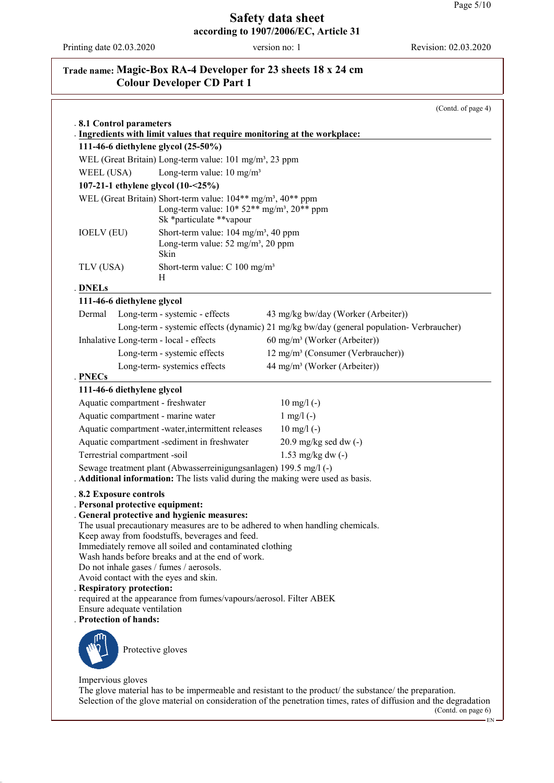Printing date 02.03.2020 version no: 1 Revision: 02.03.2020

# **Trade name: Magic-Box RA-4 Developer for 23 sheets 18 x 24 cm Colour Developer CD Part 1**

|                                  |                                                                                                                     | (Contd. of page 4)                                                                                                                                                                                                          |
|----------------------------------|---------------------------------------------------------------------------------------------------------------------|-----------------------------------------------------------------------------------------------------------------------------------------------------------------------------------------------------------------------------|
| .8.1 Control parameters          |                                                                                                                     |                                                                                                                                                                                                                             |
|                                  | . Ingredients with limit values that require monitoring at the workplace:<br>111-46-6 diethylene glycol (25-50%)    |                                                                                                                                                                                                                             |
|                                  | WEL (Great Britain) Long-term value: 101 mg/m <sup>3</sup> , 23 ppm                                                 |                                                                                                                                                                                                                             |
| WEEL (USA)                       | Long-term value: $10 \text{ mg/m}^3$                                                                                |                                                                                                                                                                                                                             |
|                                  | 107-21-1 ethylene glycol (10-<25%)                                                                                  |                                                                                                                                                                                                                             |
|                                  | WEL (Great Britain) Short-term value: 104** mg/m <sup>3</sup> , 40** ppm                                            |                                                                                                                                                                                                                             |
|                                  | Long-term value: $10*52**mg/m^3$ , $20**ppm$<br>Sk *particulate **vapour                                            |                                                                                                                                                                                                                             |
| <b>IOELV</b> (EU)                | Short-term value: 104 mg/m <sup>3</sup> , 40 ppm<br>Long-term value: $52 \text{ mg/m}^3$ , $20 \text{ ppm}$<br>Skin |                                                                                                                                                                                                                             |
| TLV (USA)                        | Short-term value: $C$ 100 mg/m <sup>3</sup><br>Н                                                                    |                                                                                                                                                                                                                             |
| . DNELs                          |                                                                                                                     |                                                                                                                                                                                                                             |
| 111-46-6 diethylene glycol       |                                                                                                                     |                                                                                                                                                                                                                             |
| Dermal                           | Long-term - systemic - effects                                                                                      | 43 mg/kg bw/day (Worker (Arbeiter))                                                                                                                                                                                         |
|                                  |                                                                                                                     | Long-term - systemic effects (dynamic) 21 mg/kg bw/day (general population- Verbraucher)                                                                                                                                    |
|                                  | Inhalative Long-term - local - effects                                                                              | 60 mg/m <sup>3</sup> (Worker (Arbeiter))                                                                                                                                                                                    |
|                                  | Long-term - systemic effects                                                                                        | 12 mg/m <sup>3</sup> (Consumer (Verbraucher))                                                                                                                                                                               |
| . PNECs                          | Long-term-systemics effects                                                                                         | 44 mg/m <sup>3</sup> (Worker (Arbeiter))                                                                                                                                                                                    |
| 111-46-6 diethylene glycol       |                                                                                                                     |                                                                                                                                                                                                                             |
| Aquatic compartment - freshwater |                                                                                                                     | $10 \text{ mg/l}$ (-)                                                                                                                                                                                                       |
|                                  | Aquatic compartment - marine water                                                                                  | $1 \text{ mg}/1$ (-)                                                                                                                                                                                                        |
|                                  | Aquatic compartment -water, intermittent releases                                                                   | $10 \text{ mg/l}$ (-)                                                                                                                                                                                                       |
|                                  | Aquatic compartment -sediment in freshwater                                                                         | $20.9$ mg/kg sed dw $(-)$                                                                                                                                                                                                   |
| Terrestrial compartment -soil    |                                                                                                                     | 1.53 mg/kg dw $(-)$                                                                                                                                                                                                         |
|                                  | Sewage treatment plant (Abwasserreinigungsanlagen) 199.5 mg/l (-)                                                   | . Additional information: The lists valid during the making were used as basis.                                                                                                                                             |
| .8.2 Exposure controls           |                                                                                                                     |                                                                                                                                                                                                                             |
| . Personal protective equipment: | General protective and hygienic measures:                                                                           |                                                                                                                                                                                                                             |
|                                  |                                                                                                                     | The usual precautionary measures are to be adhered to when handling chemicals.                                                                                                                                              |
|                                  | Keep away from foodstuffs, beverages and feed.                                                                      |                                                                                                                                                                                                                             |
|                                  | Immediately remove all soiled and contaminated clothing                                                             |                                                                                                                                                                                                                             |
|                                  | Wash hands before breaks and at the end of work.<br>Do not inhale gases / fumes / aerosols.                         |                                                                                                                                                                                                                             |
|                                  | Avoid contact with the eyes and skin.                                                                               |                                                                                                                                                                                                                             |
| . Respiratory protection:        |                                                                                                                     |                                                                                                                                                                                                                             |
| Ensure adequate ventilation      | required at the appearance from fumes/vapours/aerosol. Filter ABEK                                                  |                                                                                                                                                                                                                             |
| . Protection of hands:           |                                                                                                                     |                                                                                                                                                                                                                             |
|                                  | Protective gloves                                                                                                   |                                                                                                                                                                                                                             |
| Impervious gloves                |                                                                                                                     |                                                                                                                                                                                                                             |
|                                  |                                                                                                                     | The glove material has to be impermeable and resistant to the product/ the substance/ the preparation.<br>Selection of the glove material on consideration of the penetration times, rates of diffusion and the degradation |

 $(Cond. on page 6)$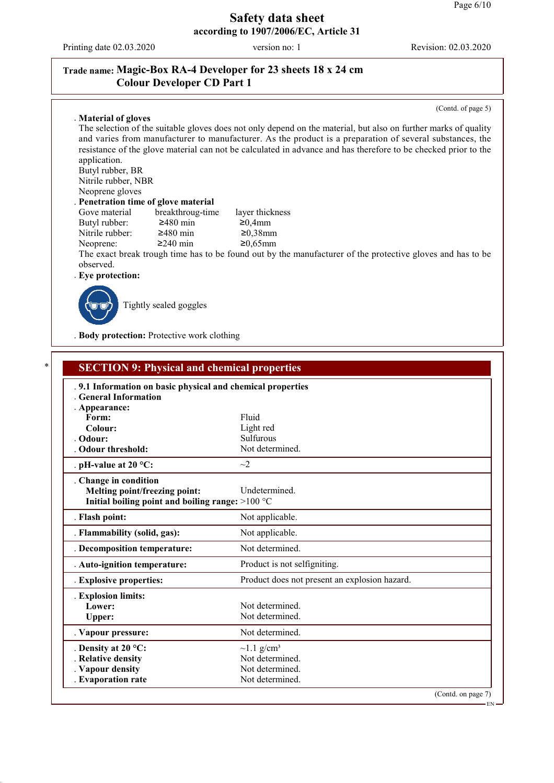Printing date 02.03.2020 version no: 1 Revision: 02.03.2020

# **Trade name: Magic-Box RA-4 Developer for 23 sheets 18 x 24 cm Colour Developer CD Part 1**

(Contd. of page 5)

EN

#### . **Material of gloves**

The selection of the suitable gloves does not only depend on the material, but also on further marks of quality and varies from manufacturer to manufacturer. As the product is a preparation of several substances, the resistance of the glove material can not be calculated in advance and has therefore to be checked prior to the application. Butyl rubber, BR

Nitrile rubber, NBR Neoprene gloves

#### . **Penetration time of glove material**

| Gove material   | breakthroug-time | layer thickness |
|-----------------|------------------|-----------------|
| Butyl rubber:   | $\geq$ 480 min   | $\geq 0.4$ mm   |
| Nitrile rubber: | $\geq$ 480 min   | $\geq 0.38$ mm  |
| Neoprene:       | $\geq$ 240 min   | $≥0,65$ mm      |

The exact break trough time has to be found out by the manufacturer of the protective gloves and has to be observed.

. **Eye protection:**



Tightly sealed goggles

. **Body protection:** Protective work clothing

| .9.1 Information on basic physical and chemical properties<br>. General Information |                                               |  |
|-------------------------------------------------------------------------------------|-----------------------------------------------|--|
| . Appearance:                                                                       |                                               |  |
| Form:                                                                               | Fluid                                         |  |
| Colour:                                                                             | Light red                                     |  |
| . Odour:                                                                            | Sulfurous                                     |  |
| <b>Odour threshold:</b>                                                             | Not determined.                               |  |
| . pH-value at $20 °C$ :                                                             | $\sim$ 2                                      |  |
| . Change in condition                                                               |                                               |  |
| Melting point/freezing point:                                                       | Undetermined.                                 |  |
| Initial boiling point and boiling range: $>100 °C$                                  |                                               |  |
| . Flash point:                                                                      | Not applicable.                               |  |
| . Flammability (solid, gas):                                                        | Not applicable.                               |  |
| . Decomposition temperature:                                                        | Not determined.                               |  |
| . Auto-ignition temperature:                                                        | Product is not selfigniting.                  |  |
| . Explosive properties:                                                             | Product does not present an explosion hazard. |  |
| . Explosion limits:                                                                 |                                               |  |
| Lower:                                                                              | Not determined.                               |  |
| Upper:                                                                              | Not determined.                               |  |
| . Vapour pressure:                                                                  | Not determined.                               |  |
| . Density at $20^{\circ}$ C:                                                        | $\sim$ 1.1 g/cm <sup>3</sup>                  |  |
| . Relative density                                                                  | Not determined.                               |  |
| . Vapour density                                                                    | Not determined.                               |  |
| . Evaporation rate                                                                  | Not determined.                               |  |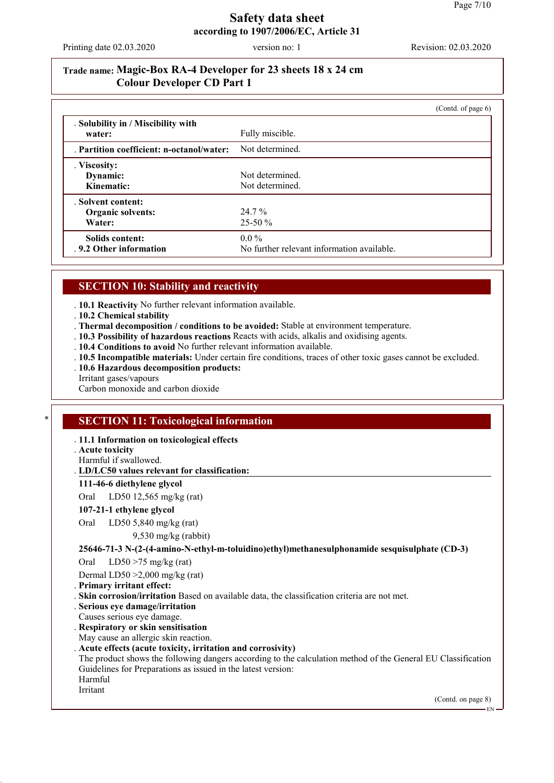Printing date 02.03.2020 version no: 1 Revision: 02.03.2020

### **Trade name: Magic-Box RA-4 Developer for 23 sheets 18 x 24 cm Colour Developer CD Part 1**

|                                                   |                                                       | (Contd. of page $6$ ) |
|---------------------------------------------------|-------------------------------------------------------|-----------------------|
| . Solubility in / Miscibility with<br>water:      | Fully miscible.                                       |                       |
| . Partition coefficient: n-octanol/water:         | Not determined.                                       |                       |
| . Viscosity:<br>Dynamic:<br>Kinematic:            | Not determined.<br>Not determined.                    |                       |
| . Solvent content:<br>Organic solvents:<br>Water: | 24.7 %<br>$25-50\%$                                   |                       |
| Solids content:<br>. 9.2 Other information        | $0.0\%$<br>No further relevant information available. |                       |

#### **SECTION 10: Stability and reactivity**

. **10.1 Reactivity** No further relevant information available.

. **10.2 Chemical stability**

. **Thermal decomposition / conditions to be avoided:** Stable at environment temperature.

- . **10.3 Possibility of hazardous reactions** Reacts with acids, alkalis and oxidising agents.
- . **10.4 Conditions to avoid** No further relevant information available.
- . **10.5 Incompatible materials:** Under certain fire conditions, traces of other toxic gases cannot be excluded.
- . **10.6 Hazardous decomposition products:**

Irritant gases/vapours

Carbon monoxide and carbon dioxide

# **SECTION 11: Toxicological information**

. **11.1 Information on toxicological effects**

. **Acute toxicity**

Harmful if swallowed.

**LD/LC50 values relevant for classification:** .

**111-46-6 diethylene glycol**

Oral LD50 12,565 mg/kg (rat)

#### **107-21-1 ethylene glycol**

Oral LD50 5,840 mg/kg (rat)

9,530 mg/kg (rabbit)

#### **25646-71-3 N-(2-(4-amino-N-ethyl-m-toluidino)ethyl)methanesulphonamide sesquisulphate (CD-3)**

Oral LD50 >75 mg/kg (rat)

Dermal LD50 >2,000 mg/kg (rat)

. **Primary irritant effect:**

. **Skin corrosion/irritation** Based on available data, the classification criteria are not met.

- . **Serious eye damage/irritation**
- Causes serious eye damage.

. **Respiratory or skin sensitisation**

May cause an allergic skin reaction.

. **Acute effects (acute toxicity, irritation and corrosivity)**

The product shows the following dangers according to the calculation method of the General EU Classification Guidelines for Preparations as issued in the latest version: Harmful Irritant

(Contd. on page 8)

EN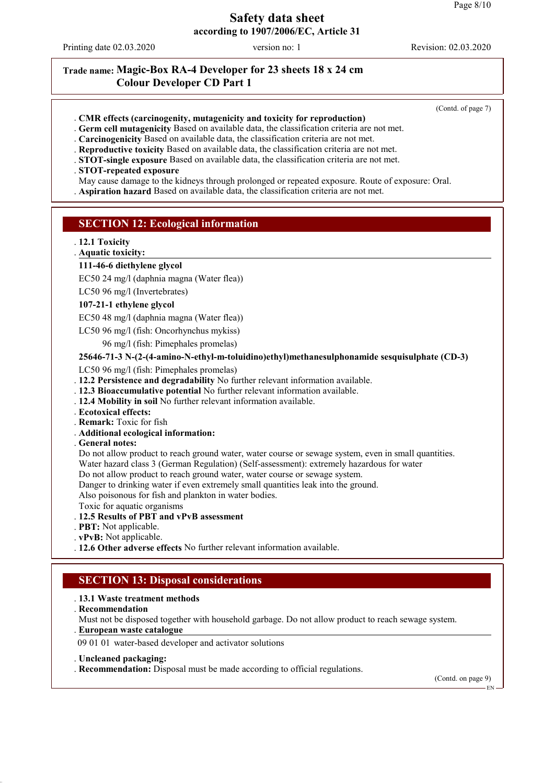Printing date 02.03.2020 version no: 1 Revision: 02.03.2020

### **Trade name: Magic-Box RA-4 Developer for 23 sheets 18 x 24 cm Colour Developer CD Part 1**

(Contd. of page 7)

- . **CMR effects (carcinogenity, mutagenicity and toxicity for reproduction)**
- . **Germ cell mutagenicity** Based on available data, the classification criteria are not met.
- . **Carcinogenicity** Based on available data, the classification criteria are not met.
- . **Reproductive toxicity** Based on available data, the classification criteria are not met.
- . **STOT-single exposure** Based on available data, the classification criteria are not met.

#### . **STOT-repeated exposure**

- May cause damage to the kidneys through prolonged or repeated exposure. Route of exposure: Oral.
- . **Aspiration hazard** Based on available data, the classification criteria are not met.

#### **SECTION 12: Ecological information**

- . **12.1 Toxicity**
- **Aquatic toxicity:** .

#### **111-46-6 diethylene glycol**

EC50 24 mg/l (daphnia magna (Water flea))

LC50 96 mg/l (Invertebrates)

#### **107-21-1 ethylene glycol**

EC50 48 mg/l (daphnia magna (Water flea))

LC50 96 mg/l (fish: Oncorhynchus mykiss)

96 mg/l (fish: Pimephales promelas)

#### **25646-71-3 N-(2-(4-amino-N-ethyl-m-toluidino)ethyl)methanesulphonamide sesquisulphate (CD-3)**

LC50 96 mg/l (fish: Pimephales promelas)

- . **12.2 Persistence and degradability** No further relevant information available.
- . **12.3 Bioaccumulative potential** No further relevant information available.
- . **12.4 Mobility in soil** No further relevant information available.
- . **Ecotoxical effects:**
- . **Remark:** Toxic for fish
- . **Additional ecological information:**
- . **General notes:**

Do not allow product to reach ground water, water course or sewage system, even in small quantities.

- Water hazard class 3 (German Regulation) (Self-assessment): extremely hazardous for water
- Do not allow product to reach ground water, water course or sewage system.
- Danger to drinking water if even extremely small quantities leak into the ground.

Also poisonous for fish and plankton in water bodies.

- Toxic for aquatic organisms
- . **12.5 Results of PBT and vPvB assessment**
- . **PBT:** Not applicable.
- . **vPvB:** Not applicable.
- . **12.6 Other adverse effects** No further relevant information available.

### **SECTION 13: Disposal considerations**

#### . **13.1 Waste treatment methods**

. **Recommendation**

Must not be disposed together with household garbage. Do not allow product to reach sewage system.

**European waste catalogue** .

09 01 01 water-based developer and activator solutions

#### . **Uncleaned packaging:**

. **Recommendation:** Disposal must be made according to official regulations.

(Contd. on page 9)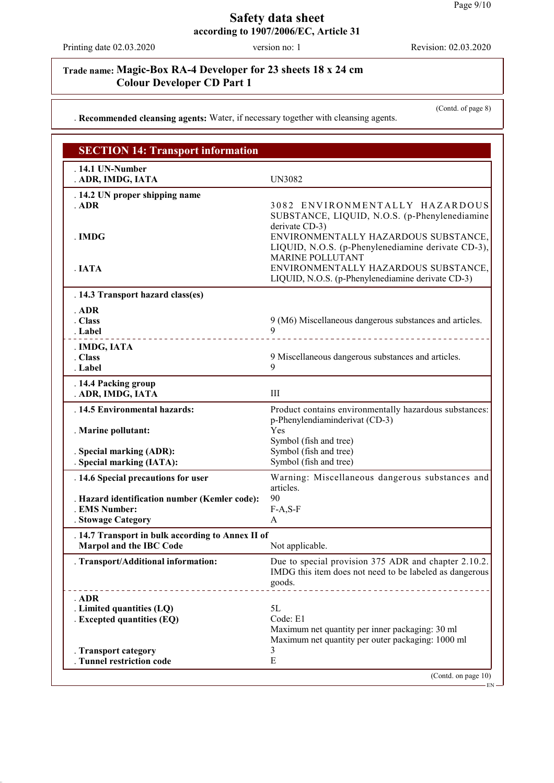Printing date 02.03.2020 version no: 1 Revision: 02.03.2020

# **Trade name: Magic-Box RA-4 Developer for 23 sheets 18 x 24 cm Colour Developer CD Part 1**

(Contd. of page 8)

### . **Recommended cleansing agents:** Water, if necessary together with cleansing agents.

| <b>SECTION 14: Transport information</b>                                                      |                                                                                                                                                       |
|-----------------------------------------------------------------------------------------------|-------------------------------------------------------------------------------------------------------------------------------------------------------|
| . 14.1 UN-Number<br>. ADR, IMDG, IATA                                                         | <b>UN3082</b>                                                                                                                                         |
| . 14.2 UN proper shipping name<br>. ADR                                                       | 3082 ENVIRONMENTALLY HAZARDOUS<br>SUBSTANCE, LIQUID, N.O.S. (p-Phenylenediamine                                                                       |
| . IMDG                                                                                        | derivate CD-3)<br>ENVIRONMENTALLY HAZARDOUS SUBSTANCE,<br>LIQUID, N.O.S. (p-Phenylenediamine derivate CD-3),<br><b>MARINE POLLUTANT</b>               |
| . IATA                                                                                        | ENVIRONMENTALLY HAZARDOUS SUBSTANCE,<br>LIQUID, N.O.S. (p-Phenylenediamine derivate CD-3)                                                             |
| . 14.3 Transport hazard class(es)                                                             |                                                                                                                                                       |
| . ADR<br>. Class<br>. Label                                                                   | 9 (M6) Miscellaneous dangerous substances and articles.<br>9                                                                                          |
| . IMDG, IATA<br>. Class<br>. Label                                                            | 9 Miscellaneous dangerous substances and articles.<br>9                                                                                               |
| . 14.4 Packing group<br>. ADR, IMDG, IATA                                                     | Ш                                                                                                                                                     |
| . 14.5 Environmental hazards:<br>. Marine pollutant:                                          | Product contains environmentally hazardous substances:<br>p-Phenylendiaminderivat (CD-3)<br>Yes                                                       |
| . Special marking (ADR):<br>. Special marking (IATA):                                         | Symbol (fish and tree)<br>Symbol (fish and tree)<br>Symbol (fish and tree)                                                                            |
| . 14.6 Special precautions for user                                                           | Warning: Miscellaneous dangerous substances and                                                                                                       |
| . Hazard identification number (Kemler code):<br>. EMS Number:<br>. Stowage Category          | articles.<br>90<br>$F-A, S-F$<br>A                                                                                                                    |
| . 14.7 Transport in bulk according to Annex II of<br><b>Marpol and the IBC Code</b>           | Not applicable.                                                                                                                                       |
| . Transport/Additional information:                                                           | Due to special provision 375 ADR and chapter 2.10.2.<br>IMDG this item does not need to be labeled as dangerous<br>goods.<br>________________________ |
| . ADR<br>. Limited quantities (LQ)<br><b>Excepted quantities (EQ)</b><br>. Transport category | 5L<br>Code: E1<br>Maximum net quantity per inner packaging: 30 ml<br>Maximum net quantity per outer packaging: 1000 ml<br>3                           |
| . Tunnel restriction code                                                                     | E<br>(Contd. on page 10)                                                                                                                              |
|                                                                                               | · EN -                                                                                                                                                |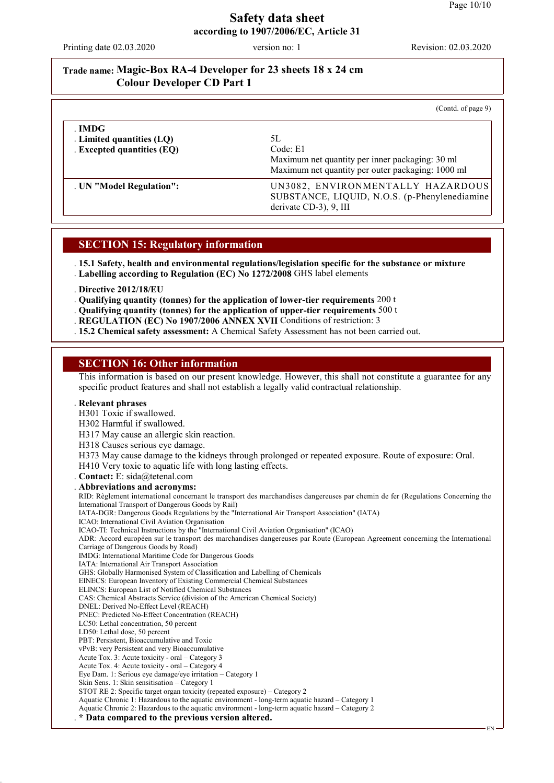Printing date 02.03.2020 version no: 1 Revision: 02.03.2020

### **Trade name: Magic-Box RA-4 Developer for 23 sheets 18 x 24 cm Colour Developer CD Part 1**

|                                                                   | (Cond. of page 9)                                                                                                      |
|-------------------------------------------------------------------|------------------------------------------------------------------------------------------------------------------------|
| . IMDG<br>. Limited quantities (LQ)<br>. Excepted quantities (EQ) | 5L<br>Code: E1<br>Maximum net quantity per inner packaging: 30 ml<br>Maximum net quantity per outer packaging: 1000 ml |
| . UN "Model Regulation":                                          | UN3082, ENVIRONMENTALLY HAZARDOUS<br>SUBSTANCE, LIQUID, N.O.S. (p-Phenylenediamine<br>derivate CD-3), 9, III           |

#### **SECTION 15: Regulatory information**

. **15.1 Safety, health and environmental regulations/legislation specific for the substance or mixture** . **Labelling according to Regulation (EC) No 1272/2008** GHS label elements

. **Directive 2012/18/EU**

. **Qualifying quantity (tonnes) for the application of lower-tier requirements** 200 t

- . **Qualifying quantity (tonnes) for the application of upper-tier requirements** 500 t
- . **REGULATION (EC) No 1907/2006 ANNEX XVII** Conditions of restriction: 3
- . **15.2 Chemical safety assessment:** A Chemical Safety Assessment has not been carried out.

#### **SECTION 16: Other information**

This information is based on our present knowledge. However, this shall not constitute a guarantee for any specific product features and shall not establish a legally valid contractual relationship.

#### . **Relevant phrases**

H301 Toxic if swallowed.

- H302 Harmful if swallowed.
- H317 May cause an allergic skin reaction.
- H318 Causes serious eye damage.
- H373 May cause damage to the kidneys through prolonged or repeated exposure. Route of exposure: Oral.
- H410 Very toxic to aquatic life with long lasting effects.
- . **Contact:** E: sida@tetenal.com

. **Abbreviations and acronyms:** RID: Règlement international concernant le transport des marchandises dangereuses par chemin de fer (Regulations Concerning the International Transport of Dangerous Goods by Rail) IATA-DGR: Dangerous Goods Regulations by the "International Air Transport Association" (IATA) ICAO: International Civil Aviation Organisation ICAO-TI: Technical Instructions by the "International Civil Aviation Organisation" (ICAO) ADR: Accord européen sur le transport des marchandises dangereuses par Route (European Agreement concerning the International Carriage of Dangerous Goods by Road) IMDG: International Maritime Code for Dangerous Goods IATA: International Air Transport Association GHS: Globally Harmonised System of Classification and Labelling of Chemicals EINECS: European Inventory of Existing Commercial Chemical Substances ELINCS: European List of Notified Chemical Substances CAS: Chemical Abstracts Service (division of the American Chemical Society) DNEL: Derived No-Effect Level (REACH) PNEC: Predicted No-Effect Concentration (REACH) LC50: Lethal concentration, 50 percent LD50: Lethal dose, 50 percent PBT: Persistent, Bioaccumulative and Toxic vPvB: very Persistent and very Bioaccumulative Acute Tox. 3: Acute toxicity - oral – Category 3 Acute Tox. 4: Acute toxicity - oral – Category 4 Eye Dam. 1: Serious eye damage/eye irritation – Category 1 Skin Sens. 1: Skin sensitisation – Category 1 STOT RE 2: Specific target organ toxicity (repeated exposure) – Category 2 Aquatic Chronic 1: Hazardous to the aquatic environment - long-term aquatic hazard – Category 1 Aquatic Chronic 2: Hazardous to the aquatic environment - long-term aquatic hazard – Category 2 . **\* Data compared to the previous version altered.**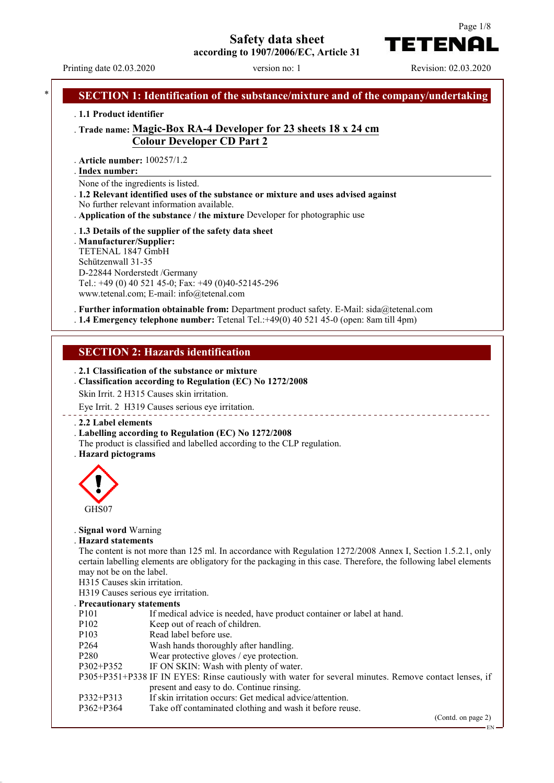**Safety data sheet**



**according to 1907/2006/EC, Article 31**

Printing date 02.03.2020 version no: 1 Revision: 02.03.2020

# **SECTION 1: Identification of the substance/mixture and of the company/undertaking** . **1.1 Product identifier** . **Trade name: Magic-Box RA-4 Developer for 23 sheets 18 x 24 cm Colour Developer CD Part 2** . **Article number:** 100257/1.2 **Index number:** . None of the ingredients is listed. . **1.2 Relevant identified uses of the substance or mixture and uses advised against** No further relevant information available. . **Application of the substance / the mixture** Developer for photographic use . **1.3 Details of the supplier of the safety data sheet** . **Manufacturer/Supplier:** TETENAL 1847 GmbH Schützenwall 31-35 D-22844 Norderstedt /Germany Tel.: +49 (0) 40 521 45-0; Fax: +49 (0)40-52145-296 www.tetenal.com; E-mail: info@tetenal.com . **Further information obtainable from:** Department product safety. E-Mail: sida@tetenal.com . **1.4 Emergency telephone number:** Tetenal Tel.:+49(0) 40 521 45-0 (open: 8am till 4pm) **SECTION 2: Hazards identification** . **2.1 Classification of the substance or mixture** . **Classification according to Regulation (EC) No 1272/2008** Skin Irrit. 2 H315 Causes skin irritation. Eye Irrit. 2 H319 Causes serious eye irritation. \_\_\_\_\_\_\_\_\_\_\_\_\_\_\_\_\_\_\_\_\_\_\_\_\_ . **2.2 Label elements** . **Labelling according to Regulation (EC) No 1272/2008** The product is classified and labelled according to the CLP regulation. . **Hazard pictograms** GHS07 . **Signal word** Warning . **Hazard statements** The content is not more than 125 ml. In accordance with Regulation 1272/2008 Annex I, Section 1.5.2.1, only certain labelling elements are obligatory for the packaging in this case. Therefore, the following label elements may not be on the label. H315 Causes skin irritation. H319 Causes serious eye irritation. . **Precautionary statements** P101 If medical advice is needed, have product container or label at hand. P102 Keep out of reach of children. P103 Read label before use. P264 Wash hands thoroughly after handling.<br>P280 Wear protective gloves / eve protection Wear protective gloves / eye protection. P302+P352 IF ON SKIN: Wash with plenty of water. P305+P351+P338 IF IN EYES: Rinse cautiously with water for several minutes. Remove contact lenses, if present and easy to do. Continue rinsing. P332+P313 If skin irritation occurs: Get medical advice/attention.<br>P362+P364 Take off contaminated clothing and wash it before reu Take off contaminated clothing and wash it before reuse. (Contd. on page 2) EN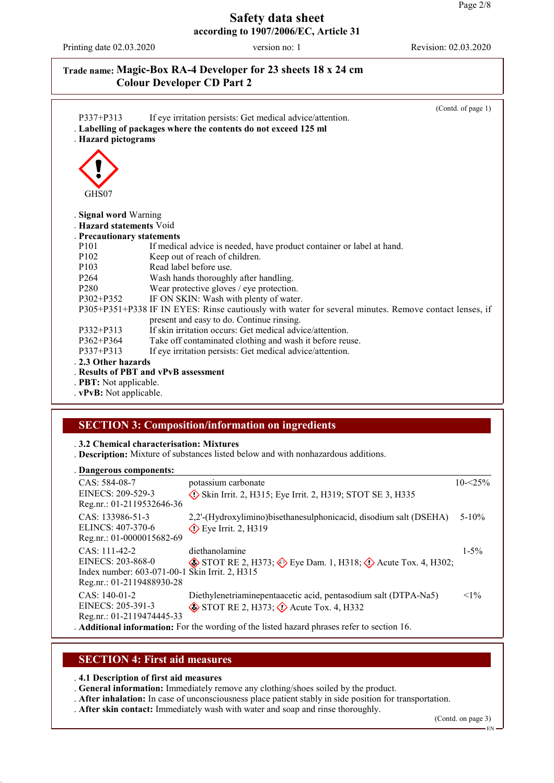Printing date 02.03.2020 version no: 1 Revision: 02.03.2020

## **Trade name: Magic-Box RA-4 Developer for 23 sheets 18 x 24 cm Colour Developer CD Part 2**

| $P337 + P313$<br>. Hazard pictograms | (Contd. of page 1)<br>If eye irritation persists: Get medical advice/attention.<br>. Labelling of packages where the contents do not exceed 125 ml |  |
|--------------------------------------|----------------------------------------------------------------------------------------------------------------------------------------------------|--|
|                                      |                                                                                                                                                    |  |
| GHS07                                |                                                                                                                                                    |  |
| . Signal word Warning                |                                                                                                                                                    |  |
| . Hazard statements Void             |                                                                                                                                                    |  |
| . Precautionary statements           |                                                                                                                                                    |  |
| P <sub>101</sub>                     | If medical advice is needed, have product container or label at hand.                                                                              |  |
| P <sub>102</sub>                     | Keep out of reach of children.                                                                                                                     |  |
| P <sub>103</sub>                     | Read label before use.                                                                                                                             |  |
| P <sub>264</sub>                     | Wash hands thoroughly after handling.                                                                                                              |  |
| P <sub>280</sub>                     | Wear protective gloves / eye protection.                                                                                                           |  |
| $P302 + P352$                        | IF ON SKIN: Wash with plenty of water.                                                                                                             |  |
|                                      | P305+P351+P338 IF IN EYES: Rinse cautiously with water for several minutes. Remove contact lenses, if                                              |  |
|                                      | present and easy to do. Continue rinsing.                                                                                                          |  |
| $P332 + P313$                        | If skin irritation occurs: Get medical advice/attention.                                                                                           |  |
| $P362 + P364$                        | Take off contaminated clothing and wash it before reuse.                                                                                           |  |
| P337+P313                            | If eye irritation persists: Get medical advice/attention.                                                                                          |  |
| . 2.3 Other hazards                  |                                                                                                                                                    |  |
|                                      | . Results of PBT and vPvB assessment                                                                                                               |  |
| . PBT: Not applicable.               |                                                                                                                                                    |  |
| . vPvB: Not applicable.              |                                                                                                                                                    |  |

### **SECTION 3: Composition/information on ingredients**

. **3.2 Chemical characterisation: Mixtures**

. **Description:** Mixture of substances listed below and with nonhazardous additions.

#### **Dangerous components:** .

| <b>Dancer ous components.</b>                                                                                       |                                                                                                                                                                                                                             |             |
|---------------------------------------------------------------------------------------------------------------------|-----------------------------------------------------------------------------------------------------------------------------------------------------------------------------------------------------------------------------|-------------|
| CAS: 584-08-7<br>EINECS: 209-529-3<br>Reg.nr.: 01-2119532646-36                                                     | potassium carbonate<br>$\Diamond$ Skin Irrit. 2, H315; Eye Irrit. 2, H319; STOT SE 3, H335                                                                                                                                  | $10 - 25\%$ |
| CAS: 133986-51-3<br>ELINCS: 407-370-6<br>Reg.nr.: 01-0000015682-69                                                  | 2,2'-(Hydroxylimino) bisethanes ulphonicacid, disodium salt (DSEHA)<br>$\diamond$ Eye Irrit. 2, H319                                                                                                                        | $5 - 10\%$  |
| $CAS: 111-42-2$<br>EINECS: 203-868-0<br>Index number: 603-071-00-1 Skin Irrit. 2, H315<br>Reg.nr.: 01-2119488930-28 | diethanolamine<br>$\circledast$ STOT RE 2, H373; $\circledast$ Eye Dam. 1, H318; $\circledast$ Acute Tox. 4, H302;                                                                                                          | $1 - 5\%$   |
| $CAS: 140-01-2$<br>EINECS: 205-391-3<br>Reg.nr.: 01-2119474445-33                                                   | Diethylenetriaminepentaacetic acid, pentasodium salt (DTPA-Na5)<br>$\diamond$ STOT RE 2, H373; $\diamond$ Acute Tox. 4, H332<br>. Additional information: For the wording of the listed hazard phrases refer to section 16. | $<1\%$      |

#### **SECTION 4: First aid measures**

. **4.1 Description of first aid measures**

. **General information:** Immediately remove any clothing/shoes soiled by the product.

- . **After inhalation:** In case of unconsciousness place patient stably in side position for transportation.
- . **After skin contact:** Immediately wash with water and soap and rinse thoroughly.

(Contd. on page 3)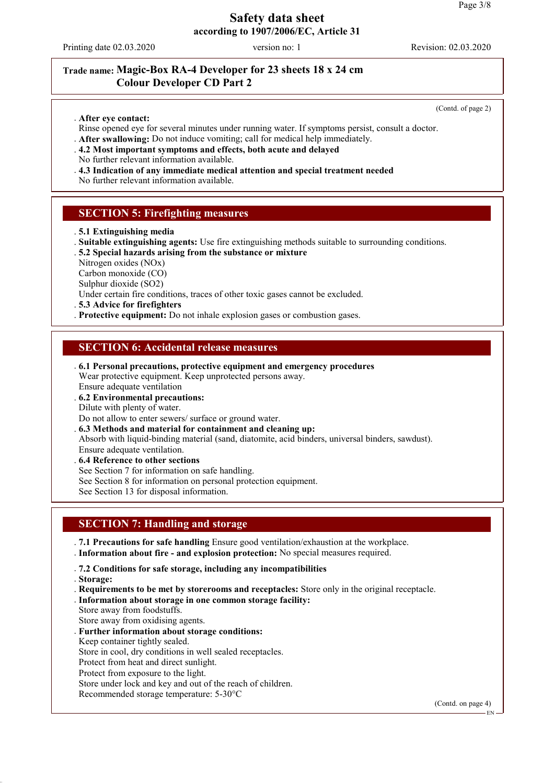Printing date 02.03.2020 version no: 1 Revision: 02.03.2020

# **Trade name: Magic-Box RA-4 Developer for 23 sheets 18 x 24 cm Colour Developer CD Part 2**

(Contd. of page 2)

- . **After eye contact:**
- Rinse opened eye for several minutes under running water. If symptoms persist, consult a doctor.
- . **After swallowing:** Do not induce vomiting; call for medical help immediately.
- . **4.2 Most important symptoms and effects, both acute and delayed**
- No further relevant information available.
- . **4.3 Indication of any immediate medical attention and special treatment needed**

No further relevant information available.

#### **SECTION 5: Firefighting measures**

- . **5.1 Extinguishing media**
- . **Suitable extinguishing agents:** Use fire extinguishing methods suitable to surrounding conditions.
- . **5.2 Special hazards arising from the substance or mixture**
- Nitrogen oxides (NOx)
- Carbon monoxide (CO)

Sulphur dioxide (SO2)

Under certain fire conditions, traces of other toxic gases cannot be excluded.

. **5.3 Advice for firefighters**

. **Protective equipment:** Do not inhale explosion gases or combustion gases.

### **SECTION 6: Accidental release measures**

. **6.1 Personal precautions, protective equipment and emergency procedures** Wear protective equipment. Keep unprotected persons away.

Ensure adequate ventilation

. **6.2 Environmental precautions:**

Dilute with plenty of water.

Do not allow to enter sewers/ surface or ground water.

. **6.3 Methods and material for containment and cleaning up:**

Absorb with liquid-binding material (sand, diatomite, acid binders, universal binders, sawdust). Ensure adequate ventilation.

. **6.4 Reference to other sections** See Section 7 for information on safe handling.

See Section 8 for information on personal protection equipment.

See Section 13 for disposal information.

### **SECTION 7: Handling and storage**

. **7.1 Precautions for safe handling** Ensure good ventilation/exhaustion at the workplace. . **Information about fire - and explosion protection:** No special measures required.

. **7.2 Conditions for safe storage, including any incompatibilities**

. **Storage:**

- . **Requirements to be met by storerooms and receptacles:** Store only in the original receptacle.
- . **Information about storage in one common storage facility:**
- Store away from foodstuffs.
- Store away from oxidising agents.
- . **Further information about storage conditions:**
- Keep container tightly sealed.

Store in cool, dry conditions in well sealed receptacles.

Protect from heat and direct sunlight.

Protect from exposure to the light.

Store under lock and key and out of the reach of children.

Recommended storage temperature: 5-30°C

(Contd. on page 4)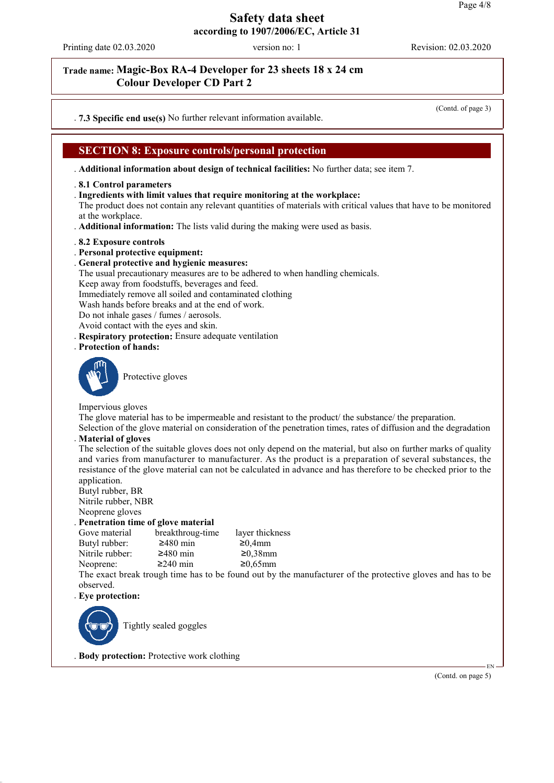Printing date 02.03.2020 version no: 1 Revision: 02.03.2020

### **Trade name: Magic-Box RA-4 Developer for 23 sheets 18 x 24 cm Colour Developer CD Part 2**

(Contd. of page 3)

. **7.3 Specific end use(s)** No further relevant information available.

### **SECTION 8: Exposure controls/personal protection**

. **Additional information about design of technical facilities:** No further data; see item 7.

- . **8.1 Control parameters**
- . **Ingredients with limit values that require monitoring at the workplace:**

The product does not contain any relevant quantities of materials with critical values that have to be monitored at the workplace.

. **Additional information:** The lists valid during the making were used as basis.

- . **8.2 Exposure controls**
- . **Personal protective equipment:**
- . **General protective and hygienic measures:**
- The usual precautionary measures are to be adhered to when handling chemicals.

Keep away from foodstuffs, beverages and feed.

Immediately remove all soiled and contaminated clothing

Wash hands before breaks and at the end of work.

Do not inhale gases / fumes / aerosols.

Avoid contact with the eyes and skin.

. **Respiratory protection:** Ensure adequate ventilation

. **Protection of hands:**



Protective gloves

Impervious gloves

The glove material has to be impermeable and resistant to the product/ the substance/ the preparation.

Selection of the glove material on consideration of the penetration times, rates of diffusion and the degradation . **Material of gloves**

The selection of the suitable gloves does not only depend on the material, but also on further marks of quality and varies from manufacturer to manufacturer. As the product is a preparation of several substances, the resistance of the glove material can not be calculated in advance and has therefore to be checked prior to the application.

Butyl rubber, BR Nitrile rubber, NBR

Neoprene gloves

. **Penetration time of glove material**

Gove material breakthroug-time layer thickness<br>Butyl rubber:  $\geq 480$  min  $\geq 0.4$ mm Butyl rubber:  $\geq 480 \text{ min}$   $\geq 0.4 \text{ mm}$ <br>Nitrile rubber:  $\geq 480 \text{ min}$   $\geq 0.38 \text{ mm}$ Nitrile rubber:

Neoprene:  $\geq 240$  min  $\geq 0.65$ mm

The exact break trough time has to be found out by the manufacturer of the protective gloves and has to be observed.

. **Eye protection:**



Tightly sealed goggles

. **Body protection:** Protective work clothing

(Contd. on page 5)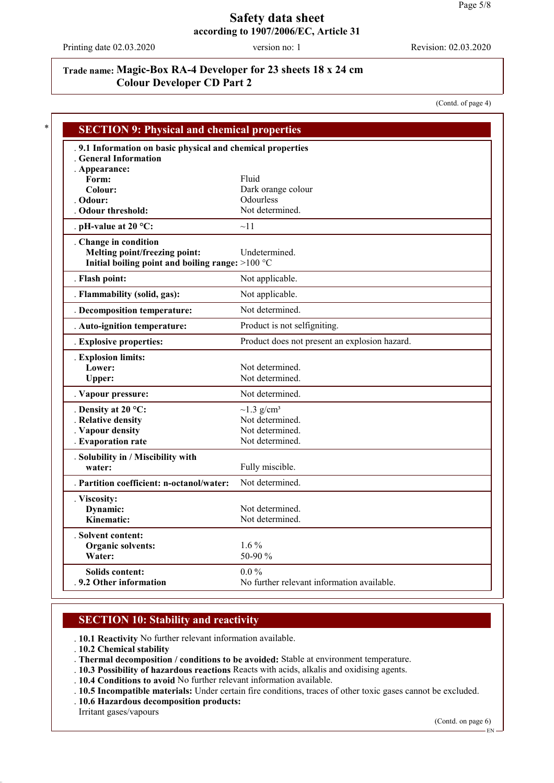Printing date 02.03.2020 version no: 1 Revision: 02.03.2020

# **Trade name: Magic-Box RA-4 Developer for 23 sheets 18 x 24 cm Colour Developer CD Part 2**

(Contd. of page 4)

| <b>SECTION 9: Physical and chemical properties</b>          |                                               |
|-------------------------------------------------------------|-----------------------------------------------|
| . 9.1 Information on basic physical and chemical properties |                                               |
| <b>Ceneral Information</b>                                  |                                               |
| . Appearance:                                               |                                               |
| Form:                                                       | Fluid                                         |
| Colour:                                                     | Dark orange colour                            |
| . Odour:                                                    | Odourless                                     |
| . Odour threshold:                                          | Not determined.                               |
| . pH-value at $20 °C$ :                                     | $\sim$ 11                                     |
| . Change in condition                                       |                                               |
| Melting point/freezing point:                               | Undetermined.                                 |
| Initial boiling point and boiling range: >100 °C            |                                               |
| . Flash point:                                              | Not applicable.                               |
| . Flammability (solid, gas):                                | Not applicable.                               |
| . Decomposition temperature:                                | Not determined.                               |
| . Auto-ignition temperature:                                | Product is not selfigniting.                  |
| . Explosive properties:                                     | Product does not present an explosion hazard. |
| . Explosion limits:                                         |                                               |
| Lower:                                                      | Not determined.                               |
| Upper:                                                      | Not determined.                               |
| . Vapour pressure:                                          | Not determined.                               |
| . Density at $20^{\circ}$ C:                                | $\sim$ 1.3 g/cm <sup>3</sup>                  |
| . Relative density                                          | Not determined.                               |
| . Vapour density                                            | Not determined.                               |
| . Evaporation rate                                          | Not determined.                               |
| . Solubility in / Miscibility with                          |                                               |
| water:                                                      | Fully miscible.                               |
| . Partition coefficient: n-octanol/water:                   | Not determined.                               |
| . Viscosity:                                                |                                               |
| Dynamic:                                                    | Not determined.                               |
| Kinematic:                                                  | Not determined.                               |
| . Solvent content:                                          |                                               |
| <b>Organic solvents:</b>                                    | $1.6\%$                                       |
| Water:                                                      | 50-90 %                                       |
| <b>Solids content:</b>                                      | $0.0\%$                                       |
| . 9.2 Other information                                     | No further relevant information available.    |

### **SECTION 10: Stability and reactivity**

. **10.1 Reactivity** No further relevant information available.

- . **10.2 Chemical stability**
- . **Thermal decomposition / conditions to be avoided:** Stable at environment temperature.
- . **10.3 Possibility of hazardous reactions** Reacts with acids, alkalis and oxidising agents.
- . **10.4 Conditions to avoid** No further relevant information available.
- . **10.5 Incompatible materials:** Under certain fire conditions, traces of other toxic gases cannot be excluded.
- . **10.6 Hazardous decomposition products:**

Irritant gases/vapours

(Contd. on page 6)

EN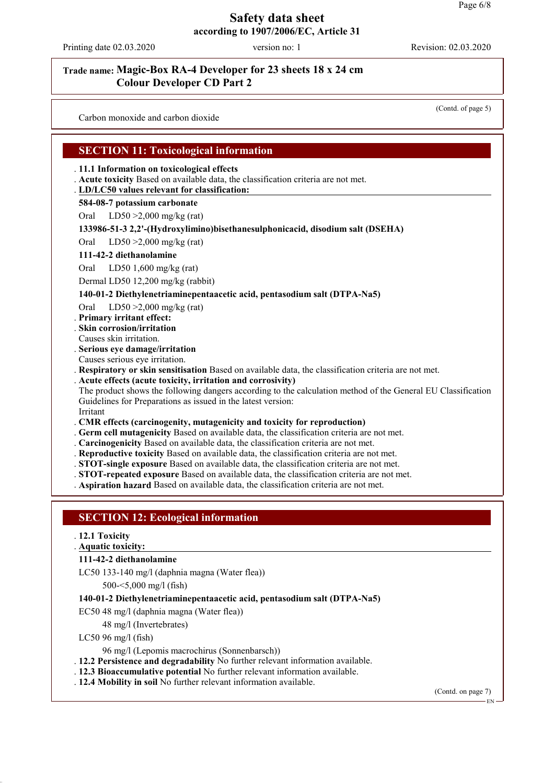Printing date 02.03.2020 version no: 1 Revision: 02.03.2020

### **Trade name: Magic-Box RA-4 Developer for 23 sheets 18 x 24 cm Colour Developer CD Part 2**

Carbon monoxide and carbon dioxide

(Contd. of page 5)

### **SECTION 11: Toxicological information**

#### . **11.1 Information on toxicological effects**

. **Acute toxicity** Based on available data, the classification criteria are not met.

#### **LD/LC50 values relevant for classification:** .

#### **584-08-7 potassium carbonate**

Oral LD50 >2,000 mg/kg (rat)

#### **133986-51-3 2,2'-(Hydroxylimino)bisethanesulphonicacid, disodium salt (DSEHA)**

Oral LD50 >2,000 mg/kg (rat)

#### **111-42-2 diethanolamine**

Oral LD50 1,600 mg/kg (rat)

Dermal LD50 12,200 mg/kg (rabbit)

#### **140-01-2 Diethylenetriaminepentaacetic acid, pentasodium salt (DTPA-Na5)**

Oral LD50 >2,000 mg/kg (rat)

. **Primary irritant effect:**

. **Skin corrosion/irritation**

Causes skin irritation.

. **Serious eye damage/irritation**

Causes serious eye irritation.

. **Respiratory or skin sensitisation** Based on available data, the classification criteria are not met.

#### . **Acute effects (acute toxicity, irritation and corrosivity)**

The product shows the following dangers according to the calculation method of the General EU Classification Guidelines for Preparations as issued in the latest version: Irritant

. **CMR effects (carcinogenity, mutagenicity and toxicity for reproduction)**

- . **Germ cell mutagenicity** Based on available data, the classification criteria are not met.
- . **Carcinogenicity** Based on available data, the classification criteria are not met.
- . **Reproductive toxicity** Based on available data, the classification criteria are not met.
- . **STOT-single exposure** Based on available data, the classification criteria are not met.
- . **STOT-repeated exposure** Based on available data, the classification criteria are not met.

. **Aspiration hazard** Based on available data, the classification criteria are not met.

### **SECTION 12: Ecological information**

#### . **12.1 Toxicity**

#### **Aquatic toxicity:** .

#### **111-42-2 diethanolamine**

LC50 133-140 mg/l (daphnia magna (Water flea))

500-<5,000 mg/l (fish)

#### **140-01-2 Diethylenetriaminepentaacetic acid, pentasodium salt (DTPA-Na5)**

- EC50 48 mg/l (daphnia magna (Water flea))
	- 48 mg/l (Invertebrates)
- LC50 96 mg/l (fish)
	- 96 mg/l (Lepomis macrochirus (Sonnenbarsch))
- . **12.2 Persistence and degradability** No further relevant information available.
- . **12.3 Bioaccumulative potential** No further relevant information available.
- . **12.4 Mobility in soil** No further relevant information available.

(Contd. on page 7)

EN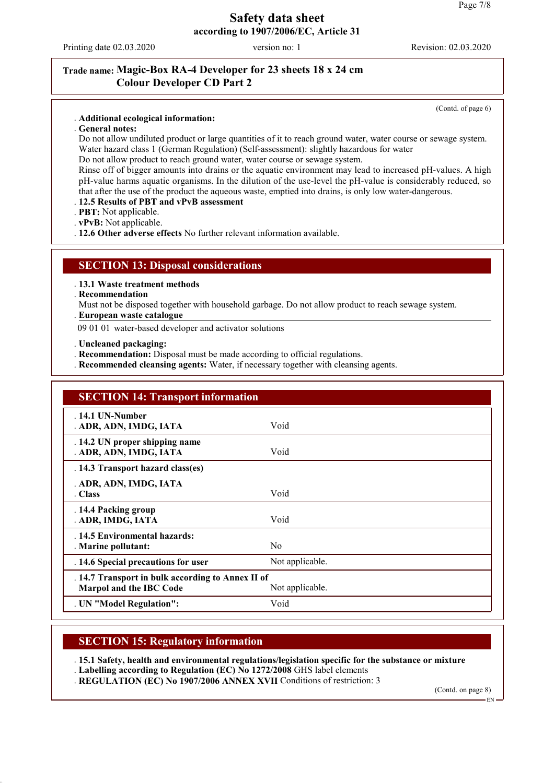Printing date 02.03.2020 version no: 1 Revision: 02.03.2020

### **Trade name: Magic-Box RA-4 Developer for 23 sheets 18 x 24 cm Colour Developer CD Part 2**

(Contd. of page 6)

- . **Additional ecological information:**
- . **General notes:**

Do not allow undiluted product or large quantities of it to reach ground water, water course or sewage system. Water hazard class 1 (German Regulation) (Self-assessment): slightly hazardous for water

Do not allow product to reach ground water, water course or sewage system.

Rinse off of bigger amounts into drains or the aquatic environment may lead to increased pH-values. A high pH-value harms aquatic organisms. In the dilution of the use-level the pH-value is considerably reduced, so that after the use of the product the aqueous waste, emptied into drains, is only low water-dangerous.

#### . **12.5 Results of PBT and vPvB assessment**

. **PBT:** Not applicable.

- . **vPvB:** Not applicable.
- . **12.6 Other adverse effects** No further relevant information available.

#### **SECTION 13: Disposal considerations**

. **13.1 Waste treatment methods**

. **Recommendation**

Must not be disposed together with household garbage. Do not allow product to reach sewage system.

**European waste catalogue** .

09 01 01 water-based developer and activator solutions

- . **Uncleaned packaging:**
- . **Recommendation:** Disposal must be made according to official regulations.
- . **Recommended cleansing agents:** Water, if necessary together with cleansing agents.

| <b>SECTION 14: Transport information</b>                                            |                 |  |
|-------------------------------------------------------------------------------------|-----------------|--|
| $.14.1$ UN-Number<br>. ADR, ADN, IMDG, IATA                                         | Void            |  |
| . 14.2 UN proper shipping name<br>. ADR, ADN, IMDG, IATA                            | Void            |  |
| . 14.3 Transport hazard class(es)                                                   |                 |  |
| . ADR, ADN, IMDG, IATA<br>. Class                                                   | Void            |  |
| . 14.4 Packing group<br>. ADR, IMDG, IATA                                           | Void            |  |
| . 14.5 Environmental hazards:<br>. Marine pollutant:                                | N <sub>0</sub>  |  |
| . 14.6 Special precautions for user                                                 | Not applicable. |  |
| . 14.7 Transport in bulk according to Annex II of<br><b>Marpol and the IBC Code</b> | Not applicable. |  |
| . UN "Model Regulation":                                                            | Void            |  |

### **SECTION 15: Regulatory information**

. **15.1 Safety, health and environmental regulations/legislation specific for the substance or mixture**

. **Labelling according to Regulation (EC) No 1272/2008** GHS label elements . **REGULATION (EC) No 1907/2006 ANNEX XVII** Conditions of restriction: 3

(Contd. on page 8)

EN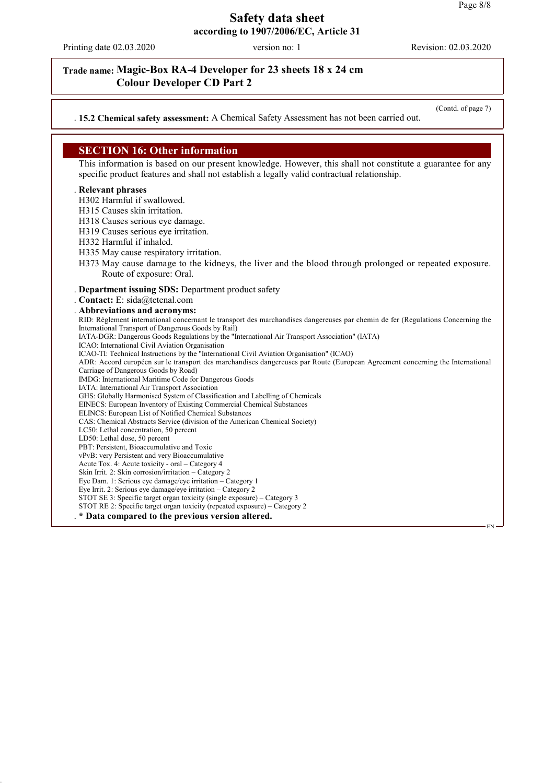Printing date 02.03.2020 version no: 1 Revision: 02.03.2020

### **Trade name: Magic-Box RA-4 Developer for 23 sheets 18 x 24 cm Colour Developer CD Part 2**

(Contd. of page 7)

#### . **15.2 Chemical safety assessment:** A Chemical Safety Assessment has not been carried out.

# **SECTION 16: Other information**

This information is based on our present knowledge. However, this shall not constitute a guarantee for any specific product features and shall not establish a legally valid contractual relationship.

#### . **Relevant phrases**

H302 Harmful if swallowed.

H315 Causes skin irritation.

H318 Causes serious eye damage.

- H319 Causes serious eye irritation.
- H332 Harmful if inhaled.
- H335 May cause respiratory irritation.
- H373 May cause damage to the kidneys, the liver and the blood through prolonged or repeated exposure. Route of exposure: Oral.

#### . **Department issuing SDS:** Department product safety

. **Contact:** E: sida@tetenal.com . **Abbreviations and acronyms:** RID: Règlement international concernant le transport des marchandises dangereuses par chemin de fer (Regulations Concerning the International Transport of Dangerous Goods by Rail) IATA-DGR: Dangerous Goods Regulations by the "International Air Transport Association" (IATA) ICAO: International Civil Aviation Organisation ICAO-TI: Technical Instructions by the "International Civil Aviation Organisation" (ICAO) ADR: Accord européen sur le transport des marchandises dangereuses par Route (European Agreement concerning the International Carriage of Dangerous Goods by Road) IMDG: International Maritime Code for Dangerous Goods IATA: International Air Transport Association GHS: Globally Harmonised System of Classification and Labelling of Chemicals EINECS: European Inventory of Existing Commercial Chemical Substances ELINCS: European List of Notified Chemical Substances CAS: Chemical Abstracts Service (division of the American Chemical Society) LC50: Lethal concentration, 50 percent LD50: Lethal dose, 50 percent PBT: Persistent, Bioaccumulative and Toxic vPvB: very Persistent and very Bioaccumulative Acute Tox. 4: Acute toxicity - oral – Category 4 Skin Irrit. 2: Skin corrosion/irritation – Category 2 Eye Dam. 1: Serious eye damage/eye irritation – Category 1 Eye Irrit. 2: Serious eye damage/eye irritation – Category 2 STOT SE 3: Specific target organ toxicity (single exposure) – Category 3 STOT RE 2: Specific target organ toxicity (repeated exposure) – Category 2 . **\* Data compared to the previous version altered.** EN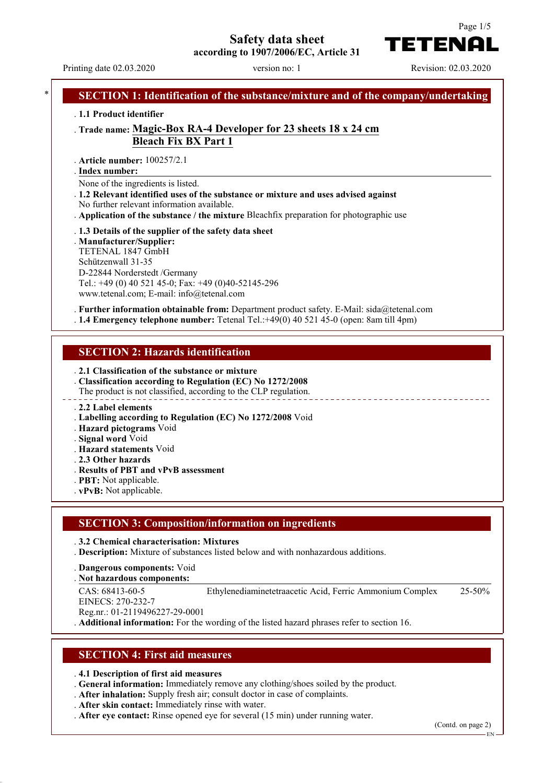# **Safety data sheet**





TETENAI

Page 1/5

# **SECTION 1: Identification of the substance/mixture and of the company/undertaking** . **1.1 Product identifier** . **Trade name: Magic-Box RA-4 Developer for 23 sheets 18 x 24 cm Bleach Fix BX Part 1** . **Article number:** 100257/2.1 **Index number:** . None of the ingredients is listed. . **1.2 Relevant identified uses of the substance or mixture and uses advised against** No further relevant information available. . **Application of the substance / the mixture** Bleachfix preparation for photographic use . **1.3 Details of the supplier of the safety data sheet** . **Manufacturer/Supplier:** TETENAL 1847 GmbH Schützenwall 31-35 D-22844 Norderstedt /Germany Tel.: +49 (0) 40 521 45-0; Fax: +49 (0)40-52145-296 www.tetenal.com; E-mail: info@tetenal.com . **Further information obtainable from:** Department product safety. E-Mail: sida@tetenal.com . **1.4 Emergency telephone number:** Tetenal Tel.:+49(0) 40 521 45-0 (open: 8am till 4pm) **SECTION 2: Hazards identification** . **2.1 Classification of the substance or mixture** . **Classification according to Regulation (EC) No 1272/2008** The product is not classified, according to the CLP regulation. . **2.2 Label elements** . **Labelling according to Regulation (EC) No 1272/2008** Void . **Hazard pictograms** Void . **Signal word** Void . **Hazard statements** Void . **2.3 Other hazards** . **Results of PBT and vPvB assessment** . **PBT:** Not applicable. . **vPvB:** Not applicable.

#### **SECTION 3: Composition/information on ingredients**

#### . **3.2 Chemical characterisation: Mixtures**

. **Description:** Mixture of substances listed below and with nonhazardous additions.

- . **Dangerous components:** Void
- **Not hazardous components:** .
- CAS: 68413-60-5
- Ethylenediaminetetraacetic Acid, Ferric Ammonium Complex 25-50%

EINECS: 270-232-7 Reg.nr.: 01-2119496227-29-0001

. **Additional information:** For the wording of the listed hazard phrases refer to section 16.

#### **SECTION 4: First aid measures**

. **4.1 Description of first aid measures**

. **General information:** Immediately remove any clothing/shoes soiled by the product.

- . **After inhalation:** Supply fresh air; consult doctor in case of complaints.
- . **After skin contact:** Immediately rinse with water.
- . **After eye contact:** Rinse opened eye for several (15 min) under running water.

(Contd. on page 2)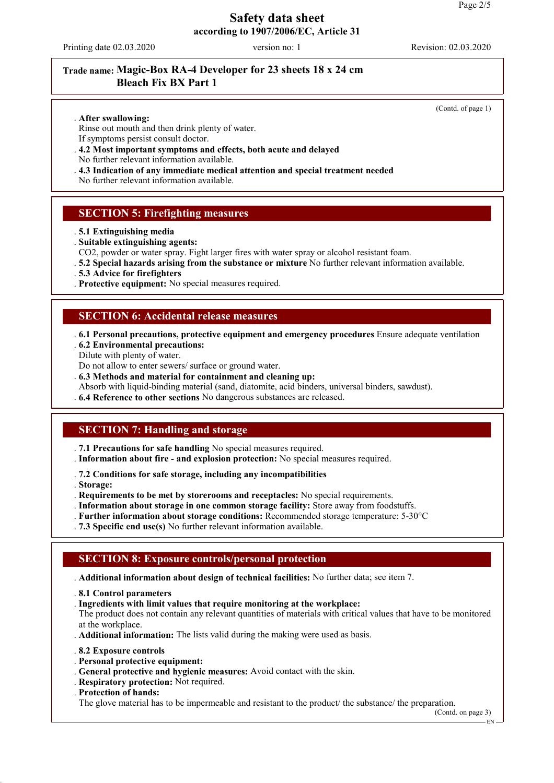Printing date 02.03.2020 version no: 1 Revision: 02.03.2020

# **Trade name: Magic-Box RA-4 Developer for 23 sheets 18 x 24 cm Bleach Fix BX Part 1**

(Contd. of page 1)

#### . **After swallowing:**

Rinse out mouth and then drink plenty of water. If symptoms persist consult doctor.

- . **4.2 Most important symptoms and effects, both acute and delayed**
- No further relevant information available.
- . **4.3 Indication of any immediate medical attention and special treatment needed**

No further relevant information available.

#### **SECTION 5: Firefighting measures**

- . **5.1 Extinguishing media**
- . **Suitable extinguishing agents:**
- CO2, powder or water spray. Fight larger fires with water spray or alcohol resistant foam.
- . **5.2 Special hazards arising from the substance or mixture** No further relevant information available.
- . **5.3 Advice for firefighters**
- . **Protective equipment:** No special measures required.

#### **SECTION 6: Accidental release measures**

- . **6.1 Personal precautions, protective equipment and emergency procedures** Ensure adequate ventilation . **6.2 Environmental precautions:**
- Dilute with plenty of water.
- Do not allow to enter sewers/ surface or ground water.
- . **6.3 Methods and material for containment and cleaning up:**
- Absorb with liquid-binding material (sand, diatomite, acid binders, universal binders, sawdust).
- . **6.4 Reference to other sections** No dangerous substances are released.

### **SECTION 7: Handling and storage**

- . **7.1 Precautions for safe handling** No special measures required.
- . **Information about fire and explosion protection:** No special measures required.
- . **7.2 Conditions for safe storage, including any incompatibilities**
- . **Storage:**
- . **Requirements to be met by storerooms and receptacles:** No special requirements.
- . **Information about storage in one common storage facility:** Store away from foodstuffs.
- . **Further information about storage conditions:** Recommended storage temperature: 5-30°C
- . **7.3 Specific end use(s)** No further relevant information available.

### **SECTION 8: Exposure controls/personal protection**

- . **Additional information about design of technical facilities:** No further data; see item 7.
- . **8.1 Control parameters**
- . **Ingredients with limit values that require monitoring at the workplace:**

The product does not contain any relevant quantities of materials with critical values that have to be monitored at the workplace.

- . **Additional information:** The lists valid during the making were used as basis.
- . **8.2 Exposure controls**
- . **Personal protective equipment:**
- . **General protective and hygienic measures:** Avoid contact with the skin.
- . **Respiratory protection:** Not required.
- . **Protection of hands:**

The glove material has to be impermeable and resistant to the product/ the substance/ the preparation.

(Contd. on page 3)

EN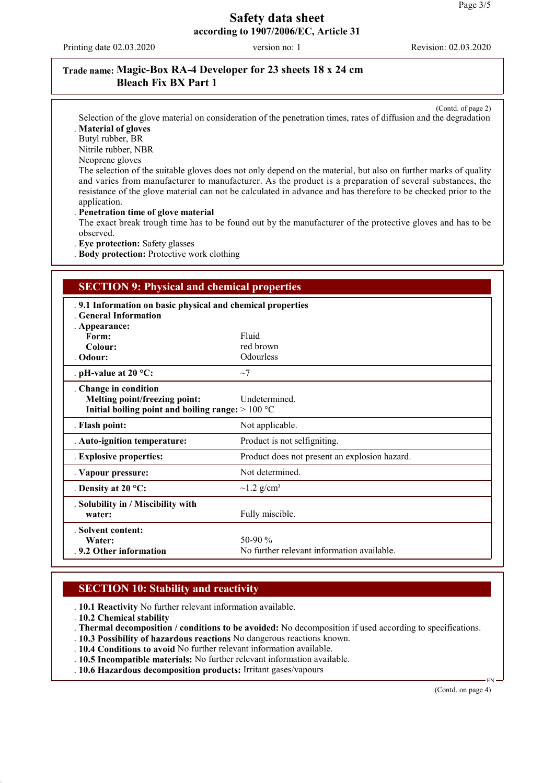Printing date 02.03.2020 version no: 1 Revision: 02.03.2020

# **Trade name: Magic-Box RA-4 Developer for 23 sheets 18 x 24 cm Bleach Fix BX Part 1**

(Contd. of page 2)

Selection of the glove material on consideration of the penetration times, rates of diffusion and the degradation . **Material of gloves**

Butyl rubber, BR

Nitrile rubber, NBR

Neoprene gloves

The selection of the suitable gloves does not only depend on the material, but also on further marks of quality and varies from manufacturer to manufacturer. As the product is a preparation of several substances, the resistance of the glove material can not be calculated in advance and has therefore to be checked prior to the application.

. **Penetration time of glove material**

The exact break trough time has to be found out by the manufacturer of the protective gloves and has to be observed.

. **Eye protection:** Safety glasses

. **Body protection:** Protective work clothing

# **SECTION 9: Physical and chemical properties**

| . 9.1 Information on basic physical and chemical properties<br>. General Information |                                               |  |
|--------------------------------------------------------------------------------------|-----------------------------------------------|--|
| . Appearance:                                                                        |                                               |  |
| Form:                                                                                | Fluid                                         |  |
| Colour:                                                                              | red brown                                     |  |
| . Odour:                                                                             | Odourless                                     |  |
| . pH-value at $20 °C$ :                                                              | $\sim$ 7                                      |  |
| . Change in condition                                                                |                                               |  |
| Melting point/freezing point:                                                        | Undetermined.                                 |  |
| Initial boiling point and boiling range: $>100 °C$                                   |                                               |  |
| . Flash point:                                                                       | Not applicable.                               |  |
| . Auto-ignition temperature:                                                         | Product is not selfigniting.                  |  |
| . Explosive properties:                                                              | Product does not present an explosion hazard. |  |
| . Vapour pressure:                                                                   | Not determined.                               |  |
| . Density at $20^{\circ}$ C:                                                         | $\sim$ 1.2 g/cm <sup>3</sup>                  |  |
| . Solubility in / Miscibility with                                                   |                                               |  |
| water:                                                                               | Fully miscible.                               |  |
| . Solvent content:                                                                   |                                               |  |
| Water:                                                                               | 50-90 $\%$                                    |  |
| .9.2 Other information                                                               | No further relevant information available.    |  |

### **SECTION 10: Stability and reactivity**

. **10.1 Reactivity** No further relevant information available.

. **10.2 Chemical stability**

. **Thermal decomposition / conditions to be avoided:** No decomposition if used according to specifications.

. **10.3 Possibility of hazardous reactions** No dangerous reactions known.

. **10.4 Conditions to avoid** No further relevant information available.

. **10.5 Incompatible materials:** No further relevant information available.

. **10.6 Hazardous decomposition products:** Irritant gases/vapours

(Contd. on page 4)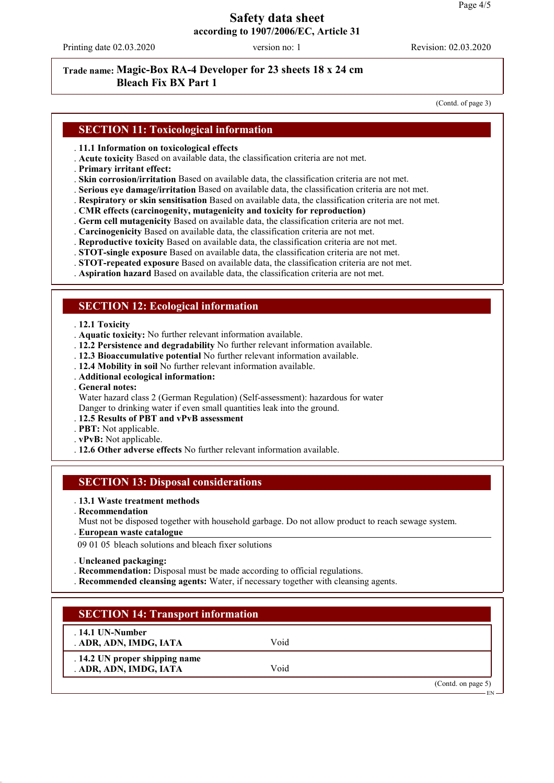Printing date 02.03.2020 version no: 1 Revision: 02.03.2020

### **Trade name: Magic-Box RA-4 Developer for 23 sheets 18 x 24 cm Bleach Fix BX Part 1**

(Contd. of page 3)

# **SECTION 11: Toxicological information**

- . **11.1 Information on toxicological effects**
- . **Acute toxicity** Based on available data, the classification criteria are not met.
- . **Primary irritant effect:**
- . **Skin corrosion/irritation** Based on available data, the classification criteria are not met.
- . **Serious eye damage/irritation** Based on available data, the classification criteria are not met.
- . **Respiratory or skin sensitisation** Based on available data, the classification criteria are not met.
- . **CMR effects (carcinogenity, mutagenicity and toxicity for reproduction)**
- . **Germ cell mutagenicity** Based on available data, the classification criteria are not met.
- . **Carcinogenicity** Based on available data, the classification criteria are not met.
- . **Reproductive toxicity** Based on available data, the classification criteria are not met.
- . **STOT-single exposure** Based on available data, the classification criteria are not met.
- . **STOT-repeated exposure** Based on available data, the classification criteria are not met.
- . **Aspiration hazard** Based on available data, the classification criteria are not met.

#### **SECTION 12: Ecological information**

#### . **12.1 Toxicity**

- . **Aquatic toxicity:** No further relevant information available.
- . **12.2 Persistence and degradability** No further relevant information available.
- . **12.3 Bioaccumulative potential** No further relevant information available.
- . **12.4 Mobility in soil** No further relevant information available.
- . **Additional ecological information:**
- . **General notes:**

Water hazard class 2 (German Regulation) (Self-assessment): hazardous for water Danger to drinking water if even small quantities leak into the ground.

#### . **12.5 Results of PBT and vPvB assessment**

. **PBT:** Not applicable.

- . **vPvB:** Not applicable.
- . **12.6 Other adverse effects** No further relevant information available.

#### **SECTION 13: Disposal considerations**

#### . **13.1 Waste treatment methods**

- . **Recommendation**
- Must not be disposed together with household garbage. Do not allow product to reach sewage system.
- **European waste catalogue** .

09 01 05 bleach solutions and bleach fixer solutions

. **Uncleaned packaging:**

- . **Recommendation:** Disposal must be made according to official regulations.
- . **Recommended cleansing agents:** Water, if necessary together with cleansing agents.

### **SECTION 14: Transport information**

. **14.1 UN-Number** . **ADR, ADN, IMDG, IATA** Void

. **14.2 UN proper shipping name** . **ADR, ADN, IMDG, IATA** Void

(Contd. on page 5)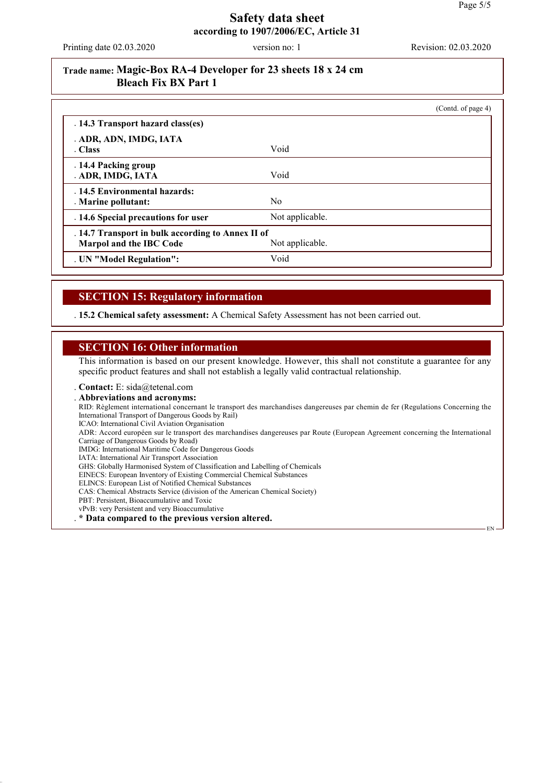Printing date 02.03.2020 version no: 1 Revision: 02.03.2020

# **Trade name: Magic-Box RA-4 Developer for 23 sheets 18 x 24 cm Bleach Fix BX Part 1**

|                                                   |                 | (Contd. of page 4) |
|---------------------------------------------------|-----------------|--------------------|
| . 14.3 Transport hazard class(es)                 |                 |                    |
| . ADR, ADN, IMDG, IATA                            |                 |                    |
| . Class                                           | Void            |                    |
| . 14.4 Packing group                              |                 |                    |
| . ADR, IMDG, IATA                                 | Void            |                    |
| . 14.5 Environmental hazards:                     |                 |                    |
| . Marine pollutant:                               | N <sub>0</sub>  |                    |
| . 14.6 Special precautions for user               | Not applicable. |                    |
| . 14.7 Transport in bulk according to Annex II of |                 |                    |
| Marpol and the IBC Code                           | Not applicable. |                    |
| . UN "Model Regulation":                          | Void            |                    |

# **SECTION 15: Regulatory information**

. **15.2 Chemical safety assessment:** A Chemical Safety Assessment has not been carried out.

#### **SECTION 16: Other information**

This information is based on our present knowledge. However, this shall not constitute a guarantee for any specific product features and shall not establish a legally valid contractual relationship.

. **Contact:** E: sida@tetenal.com

. **Abbreviations and acronyms:** RID: Règlement international concernant le transport des marchandises dangereuses par chemin de fer (Regulations Concerning the International Transport of Dangerous Goods by Rail) ICAO: International Civil Aviation Organisation ADR: Accord européen sur le transport des marchandises dangereuses par Route (European Agreement concerning the International Carriage of Dangerous Goods by Road) IMDG: International Maritime Code for Dangerous Goods IATA: International Air Transport Association GHS: Globally Harmonised System of Classification and Labelling of Chemicals EINECS: European Inventory of Existing Commercial Chemical Substances ELINCS: European List of Notified Chemical Substances CAS: Chemical Abstracts Service (division of the American Chemical Society) PBT: Persistent, Bioaccumulative and Toxic vPvB: very Persistent and very Bioaccumulative . **\* Data compared to the previous version altered.** EN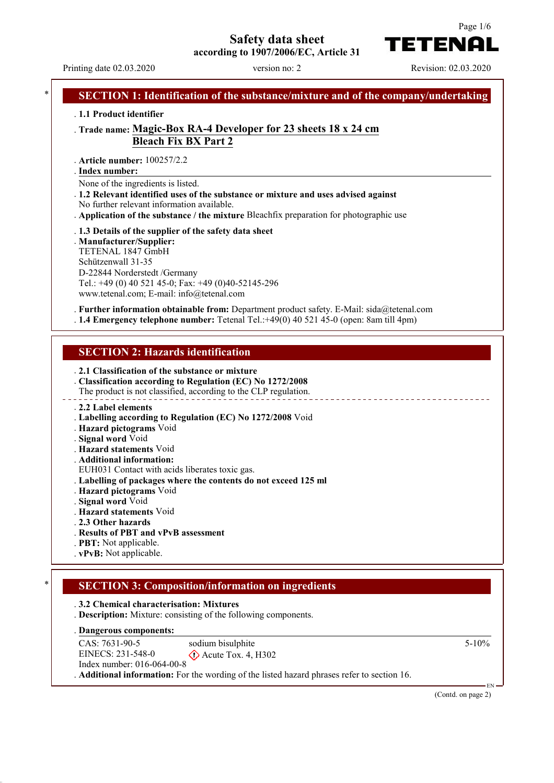# **Safety data sheet**





TETENAI

# Printing date 02.03.2020 version no: 2 Revision: 02.03.2020 **SECTION 1: Identification of the substance/mixture and of the company/undertaking** . **1.1 Product identifier** . **Trade name: Magic-Box RA-4 Developer for 23 sheets 18 x 24 cm Bleach Fix BX Part 2** . **Article number:** 100257/2.2 **Index number:** . None of the ingredients is listed. . **1.2 Relevant identified uses of the substance or mixture and uses advised against** No further relevant information available. . **Application of the substance / the mixture** Bleachfix preparation for photographic use . **1.3 Details of the supplier of the safety data sheet** . **Manufacturer/Supplier:** TETENAL 1847 GmbH Schützenwall 31-35 D-22844 Norderstedt /Germany Tel.: +49 (0) 40 521 45-0; Fax: +49 (0)40-52145-296 www.tetenal.com; E-mail: info@tetenal.com . **Further information obtainable from:** Department product safety. E-Mail: sida@tetenal.com . **1.4 Emergency telephone number:** Tetenal Tel.:+49(0) 40 521 45-0 (open: 8am till 4pm) **SECTION 2: Hazards identification** . **2.1 Classification of the substance or mixture** . **Classification according to Regulation (EC) No 1272/2008** The product is not classified, according to the CLP regulation. . **2.2 Label elements** . **Labelling according to Regulation (EC) No 1272/2008** Void . **Hazard pictograms** Void . **Signal word** Void . **Hazard statements** Void . **Additional information:** EUH031 Contact with acids liberates toxic gas. . **Labelling of packages where the contents do not exceed 125 ml** . **Hazard pictograms** Void . **Signal word** Void . **Hazard statements** Void . **2.3 Other hazards** . **Results of PBT and vPvB assessment** . **PBT:** Not applicable. . **vPvB:** Not applicable. \* **SECTION 3: Composition/information on ingredients** . **3.2 Chemical characterisation: Mixtures** . **Description:** Mixture: consisting of the following components.

**Dangerous components:** .

CAS: 7631-90-5 EINECS: 231-548-0 Index number: 016-064-00-8 sodium bisulphite  $\diamond$  Acute Tox. 4, H302 . **Additional information:** For the wording of the listed hazard phrases refer to section 16.

5-10%

EN

(Contd. on page 2)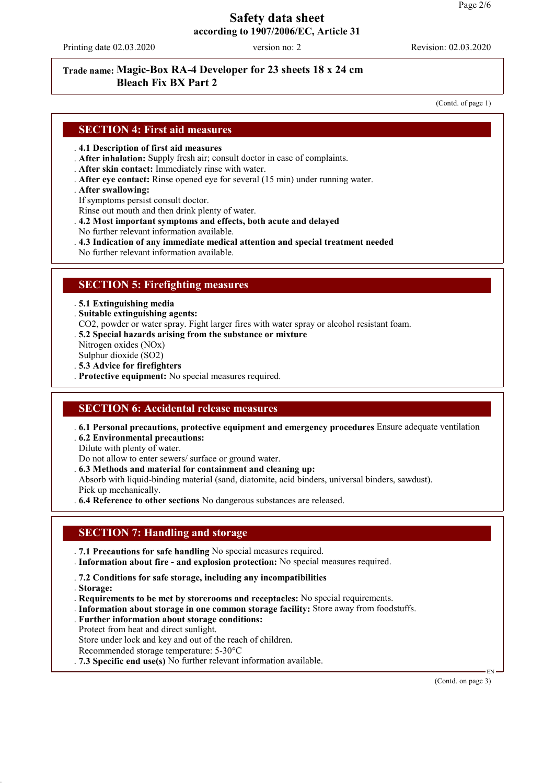Printing date 02.03.2020 version no: 2 Revision: 02.03.2020

## **Trade name: Magic-Box RA-4 Developer for 23 sheets 18 x 24 cm Bleach Fix BX Part 2**

(Contd. of page 1)

#### **SECTION 4: First aid measures**

#### . **4.1 Description of first aid measures**

- . **After inhalation:** Supply fresh air; consult doctor in case of complaints.
- . **After skin contact:** Immediately rinse with water.
- . **After eye contact:** Rinse opened eye for several (15 min) under running water.
- . **After swallowing:**
- If symptoms persist consult doctor.
- Rinse out mouth and then drink plenty of water.
- . **4.2 Most important symptoms and effects, both acute and delayed**
- No further relevant information available.
- . **4.3 Indication of any immediate medical attention and special treatment needed**
- No further relevant information available.

#### **SECTION 5: Firefighting measures**

. **5.1 Extinguishing media**

. **Suitable extinguishing agents:**

- CO2, powder or water spray. Fight larger fires with water spray or alcohol resistant foam.
- . **5.2 Special hazards arising from the substance or mixture**

Nitrogen oxides (NOx)

Sulphur dioxide (SO2)

. **5.3 Advice for firefighters**

. **Protective equipment:** No special measures required.

#### **SECTION 6: Accidental release measures**

. **6.1 Personal precautions, protective equipment and emergency procedures** Ensure adequate ventilation

. **6.2 Environmental precautions:**

- Dilute with plenty of water.
- Do not allow to enter sewers/ surface or ground water. . **6.3 Methods and material for containment and cleaning up:**
- Absorb with liquid-binding material (sand, diatomite, acid binders, universal binders, sawdust). Pick up mechanically.
- . **6.4 Reference to other sections** No dangerous substances are released.

#### **SECTION 7: Handling and storage**

- . **7.1 Precautions for safe handling** No special measures required.
- . **Information about fire and explosion protection:** No special measures required.
- . **7.2 Conditions for safe storage, including any incompatibilities**
- . **Storage:**
- . **Requirements to be met by storerooms and receptacles:** No special requirements.
- . **Information about storage in one common storage facility:** Store away from foodstuffs.
- . **Further information about storage conditions:** Protect from heat and direct sunlight.

Store under lock and key and out of the reach of children.

Recommended storage temperature: 5-30°C

. **7.3 Specific end use(s)** No further relevant information available.

(Contd. on page 3)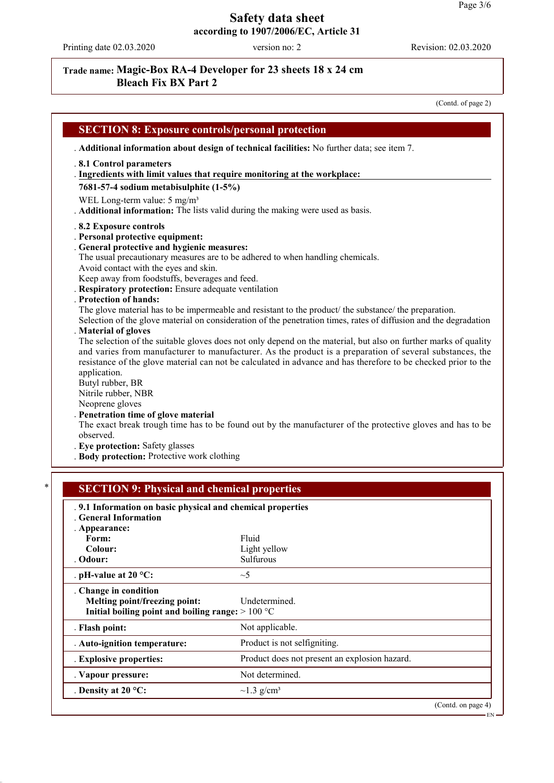Printing date 02.03.2020 version no: 2 Revision: 02.03.2020

# **Trade name: Magic-Box RA-4 Developer for 23 sheets 18 x 24 cm Bleach Fix BX Part 2**

(Contd. of page 2)

|                                                                                          | . Additional information about design of technical facilities: No further data; see item 7.                                                                                                                                 |
|------------------------------------------------------------------------------------------|-----------------------------------------------------------------------------------------------------------------------------------------------------------------------------------------------------------------------------|
| .8.1 Control parameters                                                                  |                                                                                                                                                                                                                             |
|                                                                                          | . Ingredients with limit values that require monitoring at the workplace:                                                                                                                                                   |
| 7681-57-4 sodium metabisulphite (1-5%)                                                   |                                                                                                                                                                                                                             |
| WEL Long-term value: 5 mg/m <sup>3</sup>                                                 | . Additional information: The lists valid during the making were used as basis.                                                                                                                                             |
| .8.2 Exposure controls                                                                   |                                                                                                                                                                                                                             |
| . Personal protective equipment:                                                         |                                                                                                                                                                                                                             |
| . General protective and hygienic measures:                                              |                                                                                                                                                                                                                             |
| Avoid contact with the eyes and skin.                                                    | The usual precautionary measures are to be adhered to when handling chemicals.                                                                                                                                              |
| Keep away from foodstuffs, beverages and feed.                                           |                                                                                                                                                                                                                             |
| . Respiratory protection: Ensure adequate ventilation                                    |                                                                                                                                                                                                                             |
| . Protection of hands:                                                                   |                                                                                                                                                                                                                             |
|                                                                                          | The glove material has to be impermeable and resistant to the product/ the substance/ the preparation.<br>Selection of the glove material on consideration of the penetration times, rates of diffusion and the degradation |
| . Material of gloves                                                                     |                                                                                                                                                                                                                             |
|                                                                                          | The selection of the suitable gloves does not only depend on the material, but also on further marks of quality                                                                                                             |
|                                                                                          | and varies from manufacturer to manufacturer. As the product is a preparation of several substances, the                                                                                                                    |
|                                                                                          | resistance of the glove material can not be calculated in advance and has therefore to be checked prior to the                                                                                                              |
| application.<br>Butyl rubber, BR                                                         |                                                                                                                                                                                                                             |
| Nitrile rubber, NBR                                                                      |                                                                                                                                                                                                                             |
| Neoprene gloves                                                                          |                                                                                                                                                                                                                             |
| . Penetration time of glove material                                                     |                                                                                                                                                                                                                             |
| observed.                                                                                | The exact break trough time has to be found out by the manufacturer of the protective gloves and has to be                                                                                                                  |
|                                                                                          |                                                                                                                                                                                                                             |
| . Eye protection: Safety glasses                                                         |                                                                                                                                                                                                                             |
| . Body protection: Protective work clothing                                              |                                                                                                                                                                                                                             |
|                                                                                          |                                                                                                                                                                                                                             |
| <b>SECTION 9: Physical and chemical properties</b>                                       |                                                                                                                                                                                                                             |
|                                                                                          |                                                                                                                                                                                                                             |
| .9.1 Information on basic physical and chemical properties<br><b>Ceneral Information</b> |                                                                                                                                                                                                                             |
| . Appearance:                                                                            |                                                                                                                                                                                                                             |
| Form:                                                                                    | Fluid                                                                                                                                                                                                                       |
| Colour:                                                                                  | Light yellow                                                                                                                                                                                                                |
| . Odour:                                                                                 | Sulfurous                                                                                                                                                                                                                   |
| . pH-value at $20 °C$ :                                                                  | $\sim$ 5                                                                                                                                                                                                                    |
| . Change in condition                                                                    |                                                                                                                                                                                                                             |
| Melting point/freezing point:                                                            | Undetermined.                                                                                                                                                                                                               |
| Initial boiling point and boiling range: $>100 °C$<br>. Flash point:                     | Not applicable.                                                                                                                                                                                                             |
| . Auto-ignition temperature:                                                             | Product is not selfigniting.                                                                                                                                                                                                |
| . Explosive properties:                                                                  | Product does not present an explosion hazard.                                                                                                                                                                               |
| . Vapour pressure:                                                                       | Not determined.                                                                                                                                                                                                             |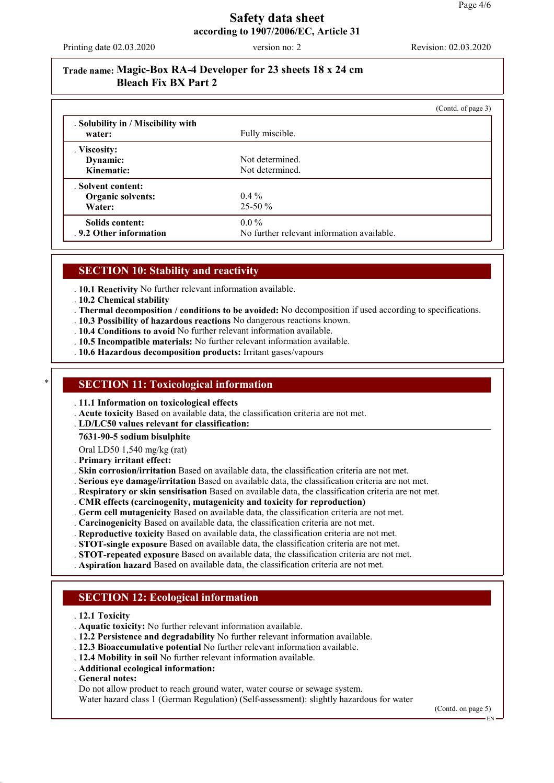Printing date 02.03.2020 version no: 2 Revision: 02.03.2020

# **Trade name: Magic-Box RA-4 Developer for 23 sheets 18 x 24 cm Bleach Fix BX Part 2**

|                                              |                                            | (Contd. of page 3) |
|----------------------------------------------|--------------------------------------------|--------------------|
| . Solubility in / Miscibility with<br>water: | Fully miscible.                            |                    |
| . Viscosity:                                 |                                            |                    |
| Dynamic:                                     | Not determined.                            |                    |
| Kinematic:                                   | Not determined.                            |                    |
| . Solvent content:                           |                                            |                    |
| Organic solvents:                            | $0.4\%$                                    |                    |
| Water:                                       | $25-50\%$                                  |                    |
| Solids content:                              | $0.0\%$                                    |                    |
| .9.2 Other information                       | No further relevant information available. |                    |

#### **SECTION 10: Stability and reactivity**

. **10.1 Reactivity** No further relevant information available.

- . **10.2 Chemical stability**
- . **Thermal decomposition / conditions to be avoided:** No decomposition if used according to specifications.
- . **10.3 Possibility of hazardous reactions** No dangerous reactions known.
- . **10.4 Conditions to avoid** No further relevant information available.
- . **10.5 Incompatible materials:** No further relevant information available.
- . **10.6 Hazardous decomposition products:** Irritant gases/vapours

#### **SECTION 11: Toxicological information**

- . **11.1 Information on toxicological effects**
- . **Acute toxicity** Based on available data, the classification criteria are not met.
- **LD/LC50 values relevant for classification:** .
- **7631-90-5 sodium bisulphite**

Oral LD50 1,540 mg/kg (rat)

- . **Primary irritant effect:**
- . **Skin corrosion/irritation** Based on available data, the classification criteria are not met.
- . **Serious eye damage/irritation** Based on available data, the classification criteria are not met.
- . **Respiratory or skin sensitisation** Based on available data, the classification criteria are not met.
- . **CMR effects (carcinogenity, mutagenicity and toxicity for reproduction)**
- . **Germ cell mutagenicity** Based on available data, the classification criteria are not met.
- . **Carcinogenicity** Based on available data, the classification criteria are not met.
- . **Reproductive toxicity** Based on available data, the classification criteria are not met.
- . **STOT-single exposure** Based on available data, the classification criteria are not met.
- . **STOT-repeated exposure** Based on available data, the classification criteria are not met.
- . **Aspiration hazard** Based on available data, the classification criteria are not met.

### **SECTION 12: Ecological information**

- . **12.1 Toxicity**
- . **Aquatic toxicity:** No further relevant information available.
- . **12.2 Persistence and degradability** No further relevant information available.
- . **12.3 Bioaccumulative potential** No further relevant information available.
- . **12.4 Mobility in soil** No further relevant information available.
- . **Additional ecological information:**
- . **General notes:**

Do not allow product to reach ground water, water course or sewage system.

Water hazard class 1 (German Regulation) (Self-assessment): slightly hazardous for water

(Contd. on page 5)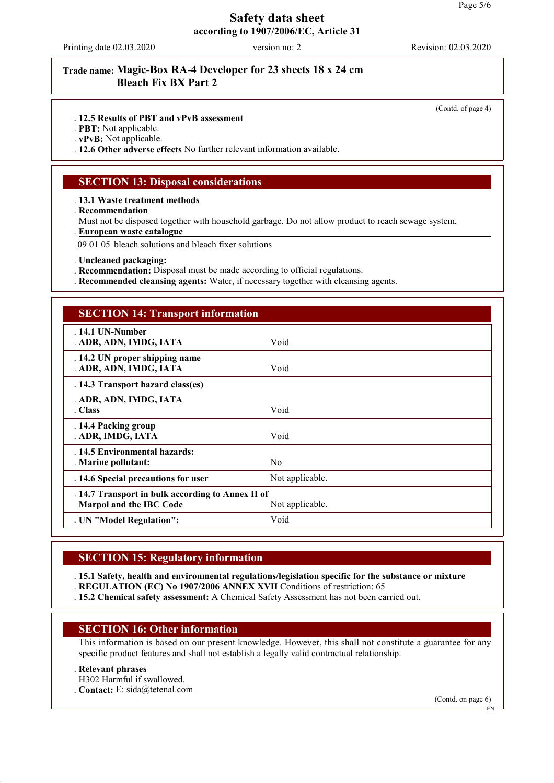Printing date 02.03.2020 version no: 2 Revision: 02.03.2020

# **Trade name: Magic-Box RA-4 Developer for 23 sheets 18 x 24 cm Bleach Fix BX Part 2**

(Contd. of page 4)

. **12.5 Results of PBT and vPvB assessment**

. **PBT:** Not applicable.

. **vPvB:** Not applicable.

. **12.6 Other adverse effects** No further relevant information available.

#### **SECTION 13: Disposal considerations**

. **13.1 Waste treatment methods**

. **Recommendation**

Must not be disposed together with household garbage. Do not allow product to reach sewage system.

**European waste catalogue** .

09 01 05 bleach solutions and bleach fixer solutions

. **Uncleaned packaging:**

- . **Recommendation:** Disposal must be made according to official regulations.
- . **Recommended cleansing agents:** Water, if necessary together with cleansing agents.

#### **SECTION 14: Transport information**

| $.14.1$ UN-Number<br>. ADR, ADN, IMDG, IATA                                  | Void            |
|------------------------------------------------------------------------------|-----------------|
| . 14.2 UN proper shipping name<br>. ADR, ADN, IMDG, IATA                     | Void            |
| . 14.3 Transport hazard class(es)                                            |                 |
| . ADR, ADN, IMDG, IATA<br>. Class                                            | Void            |
| . 14.4 Packing group<br>. ADR, IMDG, IATA                                    | Void            |
| . 14.5 Environmental hazards:<br>. Marine pollutant:                         | N <sub>0</sub>  |
| . 14.6 Special precautions for user                                          | Not applicable. |
| . 14.7 Transport in bulk according to Annex II of<br>Marpol and the IBC Code | Not applicable. |
| . UN "Model Regulation":                                                     | Void            |

#### **SECTION 15: Regulatory information**

. **15.1 Safety, health and environmental regulations/legislation specific for the substance or mixture**

. **REGULATION (EC) No 1907/2006 ANNEX XVII** Conditions of restriction: 65

. **15.2 Chemical safety assessment:** A Chemical Safety Assessment has not been carried out.

#### **SECTION 16: Other information**

This information is based on our present knowledge. However, this shall not constitute a guarantee for any specific product features and shall not establish a legally valid contractual relationship.

#### . **Relevant phrases**

H302 Harmful if swallowed.

. **Contact:** E: sida@tetenal.com

(Contd. on page 6)

EN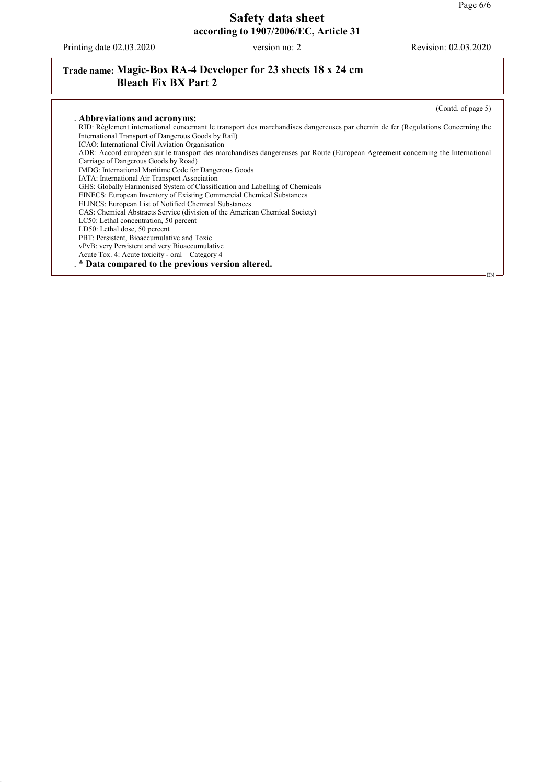Printing date 02.03.2020 version no: 2 Revision: 02.03.2020

# **Trade name: Magic-Box RA-4 Developer for 23 sheets 18 x 24 cm Bleach Fix BX Part 2**

(Contd. of page 5) . **Abbreviations and acronyms:** RID: Règlement international concernant le transport des marchandises dangereuses par chemin de fer (Regulations Concerning the International Transport of Dangerous Goods by Rail) ICAO: International Civil Aviation Organisation ADR: Accord européen sur le transport des marchandises dangereuses par Route (European Agreement concerning the International Carriage of Dangerous Goods by Road) IMDG: International Maritime Code for Dangerous Goods IATA: International Air Transport Association GHS: Globally Harmonised System of Classification and Labelling of Chemicals EINECS: European Inventory of Existing Commercial Chemical Substances ELINCS: European List of Notified Chemical Substances CAS: Chemical Abstracts Service (division of the American Chemical Society) LC50: Lethal concentration, 50 percent LD50: Lethal dose, 50 percent PBT: Persistent, Bioaccumulative and Toxic vPvB: very Persistent and very Bioaccumulative Acute Tox. 4: Acute toxicity - oral – Category 4 . **\* Data compared to the previous version altered.** EN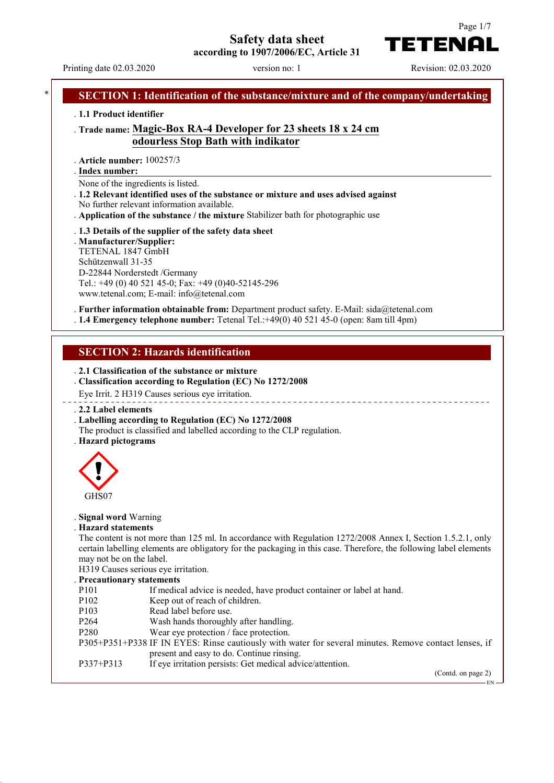# **Safety data sheet**



Printing date 02.03.2020 version no: 1 Revision: 02.03.2020

TETENAI

# **SECTION 1: Identification of the substance/mixture and of the company/undertaking** . **1.1 Product identifier** . **Trade name: Magic-Box RA-4 Developer for 23 sheets 18 x 24 cm odourless Stop Bath with indikator** . **Article number:** 100257/3 **Index number:** . None of the ingredients is listed. . **1.2 Relevant identified uses of the substance or mixture and uses advised against** No further relevant information available. . **Application of the substance / the mixture** Stabilizer bath for photographic use . **1.3 Details of the supplier of the safety data sheet** . **Manufacturer/Supplier:** TETENAL 1847 GmbH Schützenwall 31-35 D-22844 Norderstedt /Germany Tel.: +49 (0) 40 521 45-0; Fax: +49 (0)40-52145-296 www.tetenal.com; E-mail: info@tetenal.com . **Further information obtainable from:** Department product safety. E-Mail: sida@tetenal.com . **1.4 Emergency telephone number:** Tetenal Tel.:+49(0) 40 521 45-0 (open: 8am till 4pm) **SECTION 2: Hazards identification** . **2.1 Classification of the substance or mixture** . **Classification according to Regulation (EC) No 1272/2008** Eye Irrit. 2 H319 Causes serious eye irritation. \_\_\_\_\_\_\_\_\_\_\_\_\_ . **2.2 Label elements** . **Labelling according to Regulation (EC) No 1272/2008** The product is classified and labelled according to the CLP regulation. . **Hazard pictograms** GHS07 . **Signal word** Warning . **Hazard statements** The content is not more than 125 ml. In accordance with Regulation 1272/2008 Annex I, Section 1.5.2.1, only certain labelling elements are obligatory for the packaging in this case. Therefore, the following label elements may not be on the label. H319 Causes serious eye irritation. . **Precautionary statements** P101 If medical advice is needed, have product container or label at hand. P102 Keep out of reach of children. P103 Read label before use. P264 Wash hands thoroughly after handling. P280 Wear eye protection / face protection. P305+P351+P338 IF IN EYES: Rinse cautiously with water for several minutes. Remove contact lenses, if present and easy to do. Continue rinsing. P337+P313 If eye irritation persists: Get medical advice/attention. (Contd. on page 2) EN

Page 1/7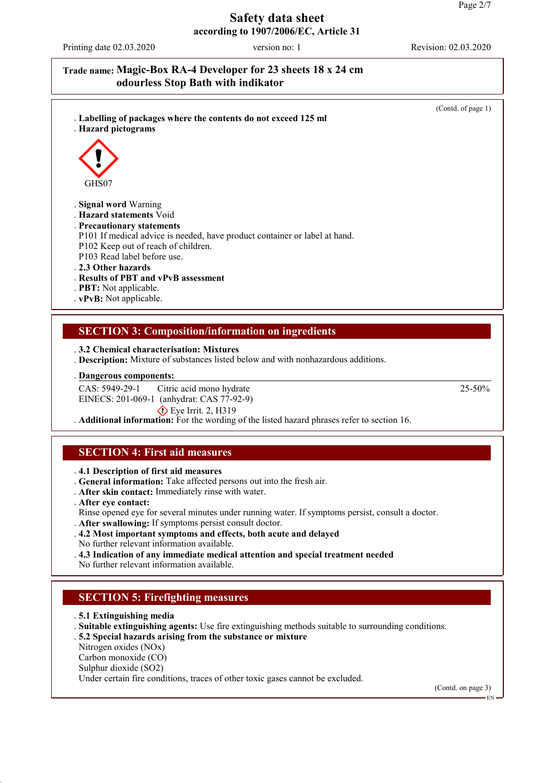Printing date 02.03.2020 version no: 1 Revision: 02.03.2020

### **Trade name: Magic-Box RA-4 Developer for 23 sheets 18 x 24 cm odourless Stop Bath with indikator**



#### **Dangerous components:** .

CAS: 5949-29-1 EINECS: 201-069-1 (anhydrat: CAS 77-92-9) Citric acid mono hydrate  $\circ$  Eve Irrit. 2, H319

. **Additional information:** For the wording of the listed hazard phrases refer to section 16.

# **SECTION 4: First aid measures**

. **4.1 Description of first aid measures**

- . **General information:** Take affected persons out into the fresh air.
- . **After skin contact:** Immediately rinse with water.
- . **After eye contact:**
- Rinse opened eye for several minutes under running water. If symptoms persist, consult a doctor.
- . **After swallowing:** If symptoms persist consult doctor.
- . **4.2 Most important symptoms and effects, both acute and delayed**
- No further relevant information available.
- . **4.3 Indication of any immediate medical attention and special treatment needed**
- No further relevant information available.

# **SECTION 5: Firefighting measures**

- . **5.1 Extinguishing media**
- . **Suitable extinguishing agents:** Use fire extinguishing methods suitable to surrounding conditions.
- . **5.2 Special hazards arising from the substance or mixture**
- Nitrogen oxides (NOx)
- Carbon monoxide (CO)
- Sulphur dioxide (SO2)
- Under certain fire conditions, traces of other toxic gases cannot be excluded.

(Contd. on page 3)

EN

25-50%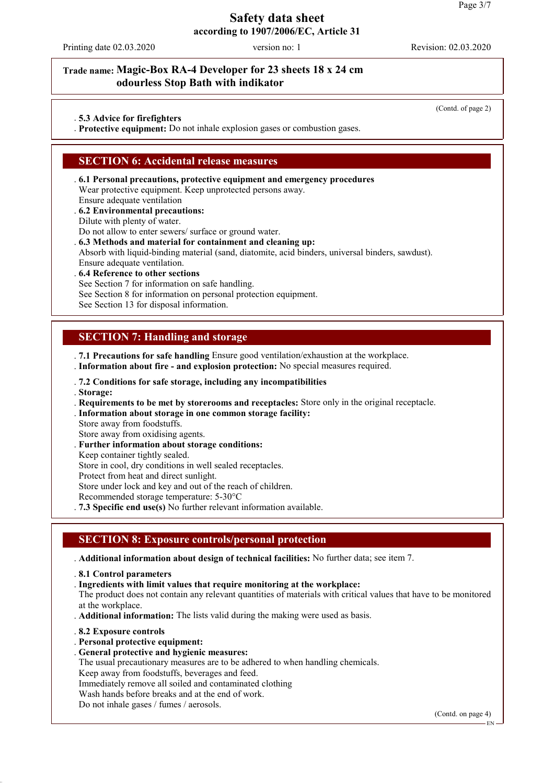Printing date 02.03.2020 version no: 1 Revision: 02.03.2020

(Contd. of page 2)

### **Trade name: Magic-Box RA-4 Developer for 23 sheets 18 x 24 cm odourless Stop Bath with indikator**

. **5.3 Advice for firefighters**

. **Protective equipment:** Do not inhale explosion gases or combustion gases.

#### **SECTION 6: Accidental release measures**

- . **6.1 Personal precautions, protective equipment and emergency procedures** Wear protective equipment. Keep unprotected persons away. Ensure adequate ventilation
- . **6.2 Environmental precautions:** Dilute with plenty of water.

Do not allow to enter sewers/ surface or ground water.

. **6.3 Methods and material for containment and cleaning up:**

Absorb with liquid-binding material (sand, diatomite, acid binders, universal binders, sawdust). Ensure adequate ventilation.

- . **6.4 Reference to other sections** See Section 7 for information on safe handling. See Section 8 for information on personal protection equipment.
- See Section 13 for disposal information.

### **SECTION 7: Handling and storage**

. **7.1 Precautions for safe handling** Ensure good ventilation/exhaustion at the workplace.

- . **Information about fire and explosion protection:** No special measures required.
- . **7.2 Conditions for safe storage, including any incompatibilities**
- . **Storage:**
- . **Requirements to be met by storerooms and receptacles:** Store only in the original receptacle.
- . **Information about storage in one common storage facility:**
- Store away from foodstuffs.
- Store away from oxidising agents.
- . **Further information about storage conditions:**
- Keep container tightly sealed.

Store in cool, dry conditions in well sealed receptacles.

Protect from heat and direct sunlight.

Store under lock and key and out of the reach of children.

Recommended storage temperature: 5-30°C

. **7.3 Specific end use(s)** No further relevant information available.

### **SECTION 8: Exposure controls/personal protection**

. **Additional information about design of technical facilities:** No further data; see item 7.

- . **8.1 Control parameters**
- . **Ingredients with limit values that require monitoring at the workplace:**

The product does not contain any relevant quantities of materials with critical values that have to be monitored at the workplace.

- . **Additional information:** The lists valid during the making were used as basis.
- . **8.2 Exposure controls**
- . **Personal protective equipment:**
- . **General protective and hygienic measures:**
- The usual precautionary measures are to be adhered to when handling chemicals.

Keep away from foodstuffs, beverages and feed.

Immediately remove all soiled and contaminated clothing

Wash hands before breaks and at the end of work.

Do not inhale gases / fumes / aerosols.

(Contd. on page 4)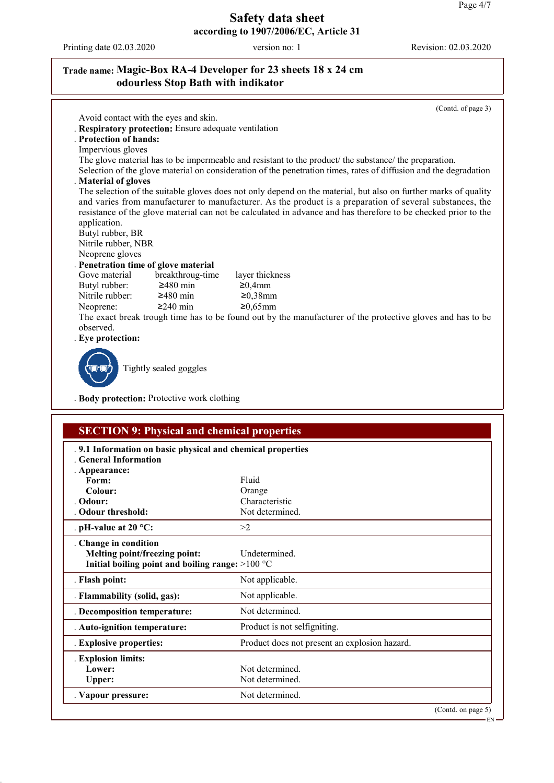Printing date 02.03.2020 version no: 1 Revision: 02.03.2020

# **Trade name: Magic-Box RA-4 Developer for 23 sheets 18 x 24 cm odourless Stop Bath with indikator**

|                                                                            | Avoid contact with the eyes and skin.                 |                                                                                                                                                                                                                                                                                                                                               |
|----------------------------------------------------------------------------|-------------------------------------------------------|-----------------------------------------------------------------------------------------------------------------------------------------------------------------------------------------------------------------------------------------------------------------------------------------------------------------------------------------------|
|                                                                            | . Respiratory protection: Ensure adequate ventilation |                                                                                                                                                                                                                                                                                                                                               |
| . Protection of hands:                                                     |                                                       |                                                                                                                                                                                                                                                                                                                                               |
| Impervious gloves                                                          |                                                       |                                                                                                                                                                                                                                                                                                                                               |
|                                                                            |                                                       | The glove material has to be impermeable and resistant to the product the substance the preparation.                                                                                                                                                                                                                                          |
|                                                                            |                                                       | Selection of the glove material on consideration of the penetration times, rates of diffusion and the degradation                                                                                                                                                                                                                             |
| . Material of gloves                                                       |                                                       |                                                                                                                                                                                                                                                                                                                                               |
| application.<br>Butyl rubber, BR<br>Nitrile rubber, NBR<br>Neoprene gloves |                                                       | The selection of the suitable gloves does not only depend on the material, but also on further marks of quality<br>and varies from manufacturer to manufacturer. As the product is a preparation of several substances, the<br>resistance of the glove material can not be calculated in advance and has therefore to be checked prior to the |
|                                                                            | . Penetration time of glove material                  |                                                                                                                                                                                                                                                                                                                                               |
| Gove material                                                              | breakthroug-time                                      | layer thickness                                                                                                                                                                                                                                                                                                                               |
| Butyl rubber:                                                              | $\geq$ 480 min                                        | ≥0,4mm                                                                                                                                                                                                                                                                                                                                        |
| Nitrile rubber:                                                            | $≥480$ min                                            | $≥0,38$ mm                                                                                                                                                                                                                                                                                                                                    |
| Neoprene:                                                                  | $\geq$ 240 min                                        | $≥0,65$ mm                                                                                                                                                                                                                                                                                                                                    |
| observed.                                                                  |                                                       | The exact break trough time has to be found out by the manufacturer of the protective gloves and has to be                                                                                                                                                                                                                                    |
| . Eye protection:                                                          |                                                       |                                                                                                                                                                                                                                                                                                                                               |
|                                                                            |                                                       |                                                                                                                                                                                                                                                                                                                                               |

. **Body protection:** Protective work clothing

Y

| .9.1 Information on basic physical and chemical properties<br><b>General Information</b> |                                               |  |
|------------------------------------------------------------------------------------------|-----------------------------------------------|--|
| . Appearance:                                                                            |                                               |  |
| Form:                                                                                    | Fluid                                         |  |
| Colour:                                                                                  | Orange                                        |  |
| Odour:                                                                                   | Characteristic                                |  |
| <b>Odour threshold:</b>                                                                  | Not determined.                               |  |
| . pH-value at 20 $^{\circ}$ C:                                                           | >2                                            |  |
| . Change in condition                                                                    |                                               |  |
| Melting point/freezing point:                                                            | Undetermined.                                 |  |
| Initial boiling point and boiling range: $>100 °C$                                       |                                               |  |
| . Flash point:                                                                           | Not applicable.                               |  |
| . Flammability (solid, gas):                                                             | Not applicable.                               |  |
| . Decomposition temperature:                                                             | Not determined.                               |  |
| . Auto-ignition temperature:                                                             | Product is not selfigniting.                  |  |
| . Explosive properties:                                                                  | Product does not present an explosion hazard. |  |
| . Explosion limits:                                                                      |                                               |  |
| Lower:                                                                                   | Not determined.                               |  |
| <b>Upper:</b>                                                                            | Not determined.                               |  |
| . Vapour pressure:                                                                       | Not determined.                               |  |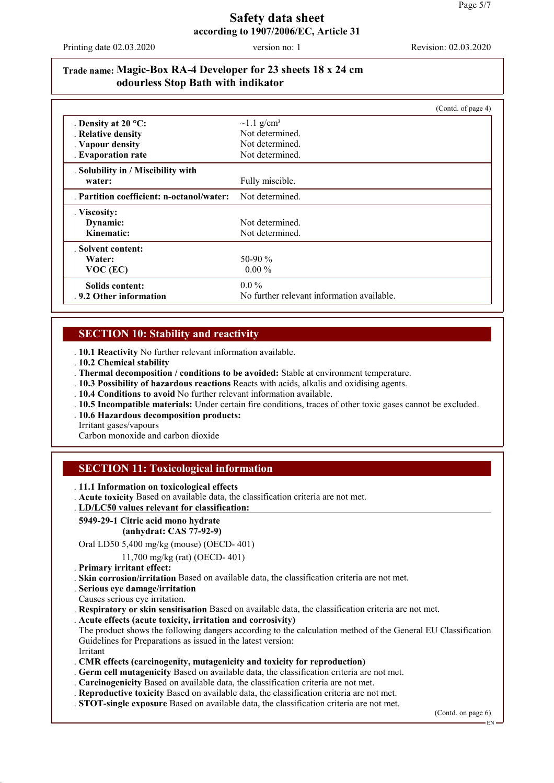Printing date 02.03.2020 version no: 1 Revision: 02.03.2020

## **Trade name: Magic-Box RA-4 Developer for 23 sheets 18 x 24 cm odourless Stop Bath with indikator**

|                                           |                                            | (Cond. of page 4) |
|-------------------------------------------|--------------------------------------------|-------------------|
| . Density at $20^{\circ}$ C:              | $\sim$ 1.1 g/cm <sup>3</sup>               |                   |
| . Relative density                        | Not determined.                            |                   |
| . Vapour density                          | Not determined.                            |                   |
| . Evaporation rate                        | Not determined.                            |                   |
| . Solubility in / Miscibility with        |                                            |                   |
| water:                                    | Fully miscible.                            |                   |
| . Partition coefficient: n-octanol/water: | Not determined.                            |                   |
| . Viscosity:                              |                                            |                   |
| Dynamic:                                  | Not determined.                            |                   |
| Kinematic:                                | Not determined.                            |                   |
| . Solvent content:                        |                                            |                   |
| Water:                                    | 50-90 $\%$                                 |                   |
| $VOC$ (EC)                                | $0.00\%$                                   |                   |
| Solids content:                           | $0.0\%$                                    |                   |
| .9.2 Other information                    | No further relevant information available. |                   |

### **SECTION 10: Stability and reactivity**

. **10.1 Reactivity** No further relevant information available.

- . **10.2 Chemical stability**
- . **Thermal decomposition / conditions to be avoided:** Stable at environment temperature.
- . **10.3 Possibility of hazardous reactions** Reacts with acids, alkalis and oxidising agents.
- . **10.4 Conditions to avoid** No further relevant information available.
- . **10.5 Incompatible materials:** Under certain fire conditions, traces of other toxic gases cannot be excluded.
- . **10.6 Hazardous decomposition products:**

Irritant gases/vapours

Carbon monoxide and carbon dioxide

### **SECTION 11: Toxicological information**

. **11.1 Information on toxicological effects**

. **Acute toxicity** Based on available data, the classification criteria are not met.

#### **LD/LC50 values relevant for classification:** .

# **5949-29-1 Citric acid mono hydrate**

 **(anhydrat: CAS 77-92-9)**

Oral LD50 5,400 mg/kg (mouse) (OECD- 401)

11,700 mg/kg (rat) (OECD- 401)

. **Primary irritant effect:**

. **Skin corrosion/irritation** Based on available data, the classification criteria are not met.

. **Serious eye damage/irritation**

Causes serious eye irritation.

. **Respiratory or skin sensitisation** Based on available data, the classification criteria are not met.

. **Acute effects (acute toxicity, irritation and corrosivity)**

The product shows the following dangers according to the calculation method of the General EU Classification Guidelines for Preparations as issued in the latest version: Irritant

. **CMR effects (carcinogenity, mutagenicity and toxicity for reproduction)**

- . **Germ cell mutagenicity** Based on available data, the classification criteria are not met.
- . **Carcinogenicity** Based on available data, the classification criteria are not met.
- . **Reproductive toxicity** Based on available data, the classification criteria are not met.
- . **STOT-single exposure** Based on available data, the classification criteria are not met.

(Contd. on page 6)

EN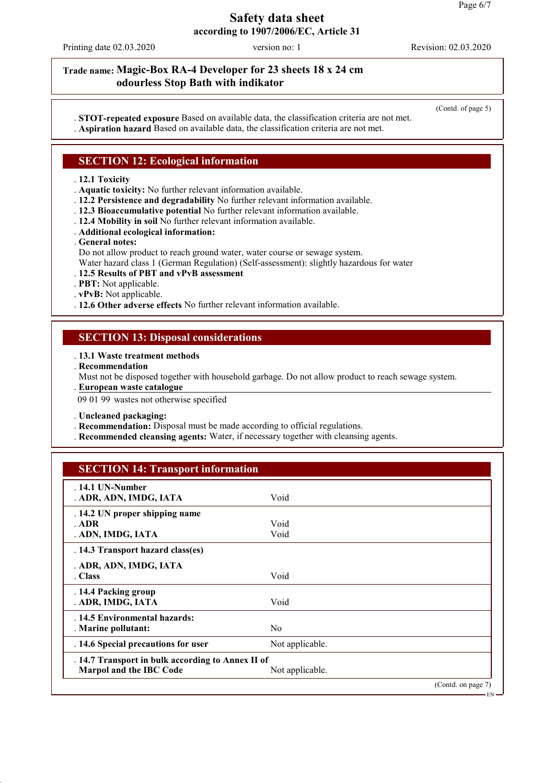EN

### **Safety data sheet according to 1907/2006/EC, Article 31**

Printing date 02.03.2020 version no: 1 Revision: 02.03.2020

### **Trade name: Magic-Box RA-4 Developer for 23 sheets 18 x 24 cm odourless Stop Bath with indikator**

(Contd. of page 5)

. **STOT-repeated exposure** Based on available data, the classification criteria are not met. . **Aspiration hazard** Based on available data, the classification criteria are not met.

### **SECTION 12: Ecological information**

#### . **12.1 Toxicity**

. **Aquatic toxicity:** No further relevant information available.

- . **12.2 Persistence and degradability** No further relevant information available.
- . **12.3 Bioaccumulative potential** No further relevant information available.
- . **12.4 Mobility in soil** No further relevant information available.
- . **Additional ecological information:**
- . **General notes:**
- Do not allow product to reach ground water, water course or sewage system.
- Water hazard class 1 (German Regulation) (Self-assessment): slightly hazardous for water
- . **12.5 Results of PBT and vPvB assessment**
- . **PBT:** Not applicable.
- . **vPvB:** Not applicable.
- . **12.6 Other adverse effects** No further relevant information available.

### **SECTION 13: Disposal considerations**

- . **13.1 Waste treatment methods**
- . **Recommendation**
- Must not be disposed together with household garbage. Do not allow product to reach sewage system.
- **European waste catalogue** .

09 01 99 wastes not otherwise specified

. **Uncleaned packaging:**

- . **Recommendation:** Disposal must be made according to official regulations.
- . **Recommended cleansing agents:** Water, if necessary together with cleansing agents.

### **SECTION 14: Transport information**

| $.14.1$ UN-Number<br>. ADR, ADN, IMDG, IATA       | Void            |                    |
|---------------------------------------------------|-----------------|--------------------|
| . 14.2 UN proper shipping name                    |                 |                    |
| . ADR                                             | Void            |                    |
| . ADN, IMDG, IATA                                 | Void            |                    |
| . 14.3 Transport hazard class(es)                 |                 |                    |
| . ADR, ADN, IMDG, IATA                            |                 |                    |
| . Class                                           | Void            |                    |
| . 14.4 Packing group                              |                 |                    |
| . ADR, IMDG, IATA                                 | Void            |                    |
| . 14.5 Environmental hazards:                     |                 |                    |
| . Marine pollutant:                               | N <sub>0</sub>  |                    |
| . 14.6 Special precautions for user               | Not applicable. |                    |
| . 14.7 Transport in bulk according to Annex II of |                 |                    |
| Marpol and the IBC Code                           | Not applicable. |                    |
|                                                   |                 | (Contd. on page 7) |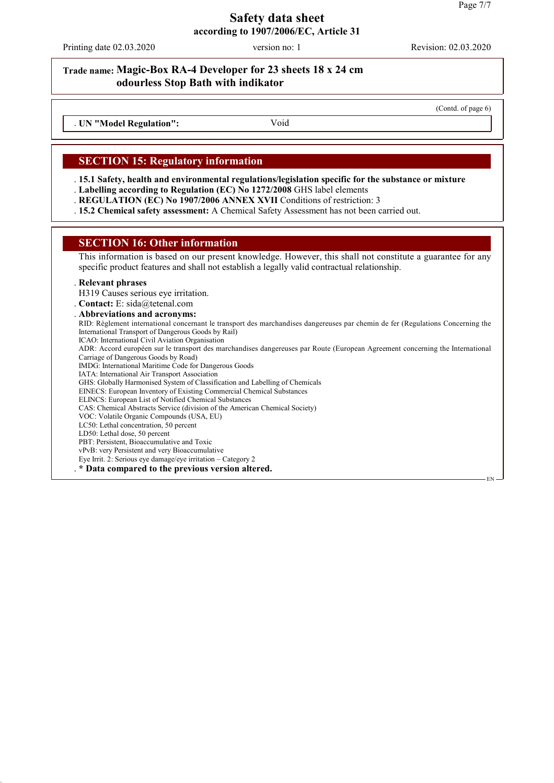Printing date 02.03.2020 version no: 1 Revision: 02.03.2020

### **Trade name: Magic-Box RA-4 Developer for 23 sheets 18 x 24 cm odourless Stop Bath with indikator**

(Contd. of page 6)

EN

. **UN "Model Regulation":** Void

#### **SECTION 15: Regulatory information**

. **15.1 Safety, health and environmental regulations/legislation specific for the substance or mixture**

. **Labelling according to Regulation (EC) No 1272/2008** GHS label elements

. **REGULATION (EC) No 1907/2006 ANNEX XVII** Conditions of restriction: 3

. **15.2 Chemical safety assessment:** A Chemical Safety Assessment has not been carried out.

#### **SECTION 16: Other information**

This information is based on our present knowledge. However, this shall not constitute a guarantee for any specific product features and shall not establish a legally valid contractual relationship.

#### . **Relevant phrases**

H319 Causes serious eye irritation.

. **Contact:** E: sida@tetenal.com

. **Abbreviations and acronyms:** RID: Règlement international concernant le transport des marchandises dangereuses par chemin de fer (Regulations Concerning the International Transport of Dangerous Goods by Rail) ICAO: International Civil Aviation Organisation ADR: Accord européen sur le transport des marchandises dangereuses par Route (European Agreement concerning the International Carriage of Dangerous Goods by Road) IMDG: International Maritime Code for Dangerous Goods IATA: International Air Transport Association GHS: Globally Harmonised System of Classification and Labelling of Chemicals EINECS: European Inventory of Existing Commercial Chemical Substances ELINCS: European List of Notified Chemical Substances CAS: Chemical Abstracts Service (division of the American Chemical Society) VOC: Volatile Organic Compounds (USA, EU) LC50: Lethal concentration, 50 percent LD50: Lethal dose, 50 percent PBT: Persistent, Bioaccumulative and Toxic vPvB: very Persistent and very Bioaccumulative Eye Irrit. 2: Serious eye damage/eye irritation – Category 2 . **\* Data compared to the previous version altered.**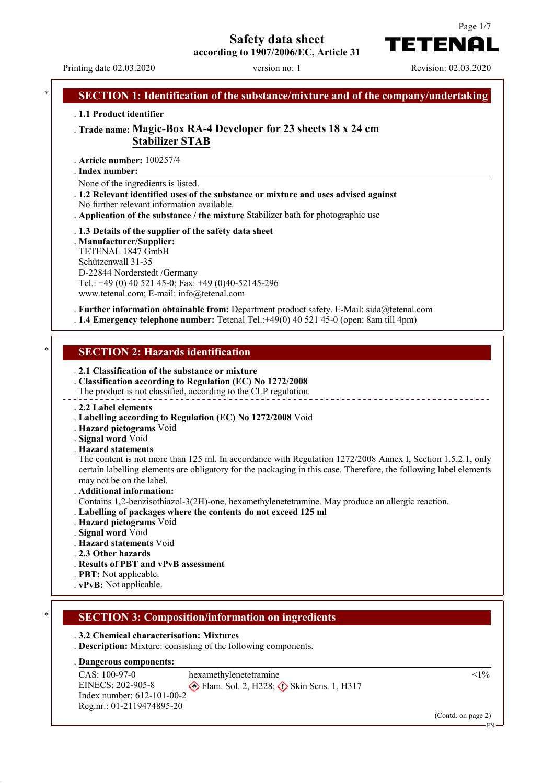# **Safety data sheet**



Printing date 02.03.2020 version no: 1 Revision: 02.03.2020

TETENA

Page 1/7

### **SECTION 1: Identification of the substance/mixture and of the company/undertaking** . **1.1 Product identifier** . **Trade name: Magic-Box RA-4 Developer for 23 sheets 18 x 24 cm Stabilizer STAB** . **Article number:** 100257/4 **Index number:** . None of the ingredients is listed. . **1.2 Relevant identified uses of the substance or mixture and uses advised against** No further relevant information available. . **Application of the substance / the mixture** Stabilizer bath for photographic use . **1.3 Details of the supplier of the safety data sheet** . **Manufacturer/Supplier:** TETENAL 1847 GmbH Schützenwall 31-35 D-22844 Norderstedt /Germany Tel.: +49 (0) 40 521 45-0; Fax: +49 (0)40-52145-296 www.tetenal.com; E-mail: info@tetenal.com . **Further information obtainable from:** Department product safety. E-Mail: sida@tetenal.com . **1.4 Emergency telephone number:** Tetenal Tel.:+49(0) 40 521 45-0 (open: 8am till 4pm) **SECTION 2: Hazards identification** . **2.1 Classification of the substance or mixture** . **Classification according to Regulation (EC) No 1272/2008** The product is not classified, according to the CLP regulation. . **2.2 Label elements** . **Labelling according to Regulation (EC) No 1272/2008** Void . **Hazard pictograms** Void . **Signal word** Void . **Hazard statements** The content is not more than 125 ml. In accordance with Regulation 1272/2008 Annex I, Section 1.5.2.1, only certain labelling elements are obligatory for the packaging in this case. Therefore, the following label elements may not be on the label. . **Additional information:** Contains 1,2-benzisothiazol-3(2H)-one, hexamethylenetetramine. May produce an allergic reaction. . **Labelling of packages where the contents do not exceed 125 ml** . **Hazard pictograms** Void . **Signal word** Void . **Hazard statements** Void . **2.3 Other hazards** . **Results of PBT and vPvB assessment** . **PBT:** Not applicable. . **vPvB:** Not applicable. \* **SECTION 3: Composition/information on ingredients** . **3.2 Chemical characterisation: Mixtures** . **Description:** Mixture: consisting of the following components. **Dangerous components:** . CAS: 100-97-0 EINECS: 202-905-8 Index number: 612-101-00-2 Reg.nr.: 01-2119474895-20 hexamethylenetetramine  $\circ$  Flam. Sol. 2, H228;  $\circ$  Skin Sens. 1, H317  $<1\%$

(Contd. on page 2)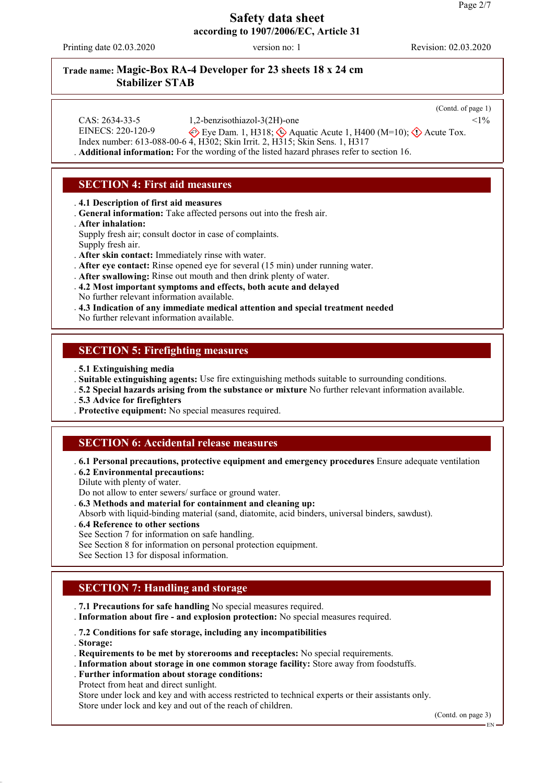Printing date 02.03.2020 version no: 1 Revision: 02.03.2020

# **Trade name: Magic-Box RA-4 Developer for 23 sheets 18 x 24 cm Stabilizer STAB**

|                   |                                                                          | (Contd. of page 1) |
|-------------------|--------------------------------------------------------------------------|--------------------|
| CAS: 2634-33-5    | 1,2-benzisothiazol-3(2H)-one                                             | $<1\%$             |
| EINECS: 220-120-9 | Eye Dam. 1, H318; $\iff$ Aquatic Acute 1, H400 (M=10); $\iff$ Acute Tox. |                    |

Index number: 613-088-00-6 4, H302; Skin Irrit. 2, H315; Skin Sens. 1, H317

. **Additional information:** For the wording of the listed hazard phrases refer to section 16.

# **SECTION 4: First aid measures**

. **4.1 Description of first aid measures**

- . **General information:** Take affected persons out into the fresh air.
- . **After inhalation:**

Supply fresh air; consult doctor in case of complaints.

Supply fresh air.

. **After skin contact:** Immediately rinse with water.

. **After eye contact:** Rinse opened eye for several (15 min) under running water.

. **After swallowing:** Rinse out mouth and then drink plenty of water.

- . **4.2 Most important symptoms and effects, both acute and delayed** No further relevant information available.
- . **4.3 Indication of any immediate medical attention and special treatment needed**

No further relevant information available.

#### **SECTION 5: Firefighting measures**

. **5.1 Extinguishing media**

. **Suitable extinguishing agents:** Use fire extinguishing methods suitable to surrounding conditions.

. **5.2 Special hazards arising from the substance or mixture** No further relevant information available.

. **5.3 Advice for firefighters**

. **Protective equipment:** No special measures required.

### **SECTION 6: Accidental release measures**

. **6.1 Personal precautions, protective equipment and emergency procedures** Ensure adequate ventilation . **6.2 Environmental precautions:**

Dilute with plenty of water.

Do not allow to enter sewers/ surface or ground water.

. **6.3 Methods and material for containment and cleaning up:**

Absorb with liquid-binding material (sand, diatomite, acid binders, universal binders, sawdust).

- . **6.4 Reference to other sections**
- See Section 7 for information on safe handling.

See Section 8 for information on personal protection equipment.

See Section 13 for disposal information.

# **SECTION 7: Handling and storage**

. **7.1 Precautions for safe handling** No special measures required.

. **Information about fire - and explosion protection:** No special measures required.

. **7.2 Conditions for safe storage, including any incompatibilities**

. **Storage:**

. **Requirements to be met by storerooms and receptacles:** No special requirements.

- . **Information about storage in one common storage facility:** Store away from foodstuffs.
- . **Further information about storage conditions:**

Protect from heat and direct sunlight.

Store under lock and key and with access restricted to technical experts or their assistants only. Store under lock and key and out of the reach of children.

(Contd. on page 3)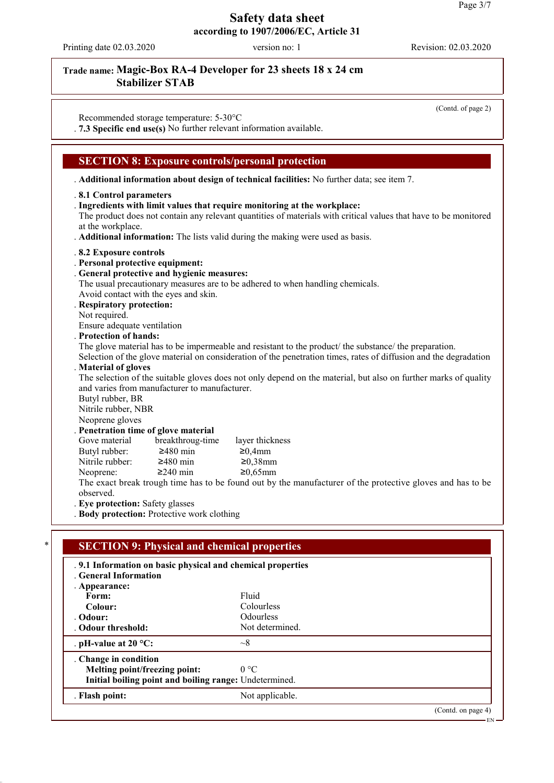Printing date 02.03.2020 version no: 1 Revision: 02.03.2020

# **Trade name: Magic-Box RA-4 Developer for 23 sheets 18 x 24 cm Stabilizer STAB**

(Contd. of page 2)

EN

Recommended storage temperature: 5-30°C . **7.3 Specific end use(s)** No further relevant information available.

### **SECTION 8: Exposure controls/personal protection**

. **Additional information about design of technical facilities:** No further data; see item 7.

#### . **8.1 Control parameters**

. **Ingredients with limit values that require monitoring at the workplace:**

The product does not contain any relevant quantities of materials with critical values that have to be monitored at the workplace.

. **Additional information:** The lists valid during the making were used as basis.

#### . **8.2 Exposure controls**

- . **Personal protective equipment:**
- . **General protective and hygienic measures:**

The usual precautionary measures are to be adhered to when handling chemicals. Avoid contact with the eyes and skin.

#### . **Respiratory protection:**

Not required.

Ensure adequate ventilation

#### . **Protection of hands:**

The glove material has to be impermeable and resistant to the product/ the substance/ the preparation.

Selection of the glove material on consideration of the penetration times, rates of diffusion and the degradation . **Material of gloves**

The selection of the suitable gloves does not only depend on the material, but also on further marks of quality and varies from manufacturer to manufacturer.

Butyl rubber, BR Nitrile rubber, NBR

Neoprene gloves

#### . **Penetration time of glove material**

Gove material breakthroug-time layer thickness Butyl rubber:  $\geq 480$  min  $\geq 0.4$ mm Nitrile rubber:  $\geq 480$  min  $\geq 0.38$ mm<br>Neoprene:  $\geq 240$  min  $\geq 0.65$ mm Neoprene:  $\geq 240$  min

The exact break trough time has to be found out by the manufacturer of the protective gloves and has to be observed.

. **Eye protection:** Safety glasses

. **Body protection:** Protective work clothing

# **SECTION 9: Physical and chemical properties** . **9.1 Information on basic physical and chemical properties** . **General Information** . **Appearance: Form:** Fluid Colour: Fluid **Colour:** Colourless **Odour:** Odourless<br> **Odour threshold:** Not determined . Odour threshold: . **pH-value at 20 °C:**  $\sim$ 8 . **Change in condition Melting point/freezing point:** 0 °C **Initial boiling point and boiling range:** Undetermined. . **Flash point:** Not applicable. (Contd. on page 4)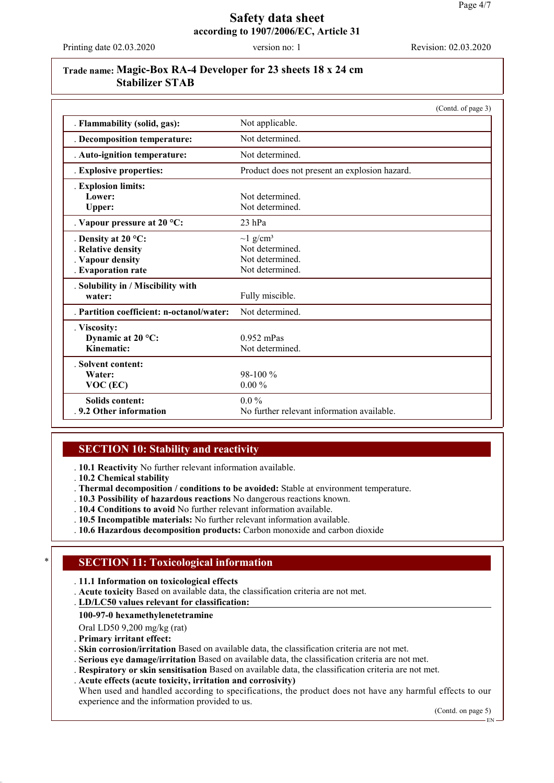Printing date 02.03.2020 version no: 1 Revision: 02.03.2020

# **Trade name: Magic-Box RA-4 Developer for 23 sheets 18 x 24 cm Stabilizer STAB**

|                                           | (Contd. of page 3)                            |  |
|-------------------------------------------|-----------------------------------------------|--|
| . Flammability (solid, gas):              | Not applicable.                               |  |
| . Decomposition temperature:              | Not determined.                               |  |
| . Auto-ignition temperature:              | Not determined.                               |  |
| . Explosive properties:                   | Product does not present an explosion hazard. |  |
| . Explosion limits:                       |                                               |  |
| Lower:                                    | Not determined.                               |  |
| Upper:                                    | Not determined.                               |  |
| . Vapour pressure at 20 $^{\circ}$ C:     | $23$ hPa                                      |  |
| . Density at $20 °C$ :                    | $\sim$ 1 g/cm <sup>3</sup>                    |  |
| . Relative density                        | Not determined.                               |  |
| . Vapour density                          | Not determined.                               |  |
| . Evaporation rate                        | Not determined.                               |  |
| . Solubility in / Miscibility with        |                                               |  |
| water:                                    | Fully miscible.                               |  |
| . Partition coefficient: n-octanol/water: | Not determined.                               |  |
| . Viscosity:                              |                                               |  |
| Dynamic at 20 °C:                         | $0.952$ mPas                                  |  |
| Kinematic:                                | Not determined.                               |  |
| . Solvent content:                        |                                               |  |
| Water:                                    | $98-100\%$                                    |  |
| $VOC$ (EC)                                | $0.00\%$                                      |  |
| <b>Solids content:</b>                    | $0.0\%$                                       |  |
| .9.2 Other information                    | No further relevant information available.    |  |

### **SECTION 10: Stability and reactivity**

. **10.1 Reactivity** No further relevant information available.

. **10.2 Chemical stability**

. **Thermal decomposition / conditions to be avoided:** Stable at environment temperature.

- . **10.3 Possibility of hazardous reactions** No dangerous reactions known.
- . **10.4 Conditions to avoid** No further relevant information available.
- . **10.5 Incompatible materials:** No further relevant information available.
- . **10.6 Hazardous decomposition products:** Carbon monoxide and carbon dioxide

#### **SECTION 11: Toxicological information**

. **11.1 Information on toxicological effects**

. **Acute toxicity** Based on available data, the classification criteria are not met.

**LD/LC50 values relevant for classification:** .

**100-97-0 hexamethylenetetramine**

Oral LD50 9,200 mg/kg (rat)

. **Primary irritant effect:**

. **Skin corrosion/irritation** Based on available data, the classification criteria are not met.

. **Serious eye damage/irritation** Based on available data, the classification criteria are not met.

. **Respiratory or skin sensitisation** Based on available data, the classification criteria are not met.

. **Acute effects (acute toxicity, irritation and corrosivity)**

When used and handled according to specifications, the product does not have any harmful effects to our experience and the information provided to us.

(Contd. on page 5)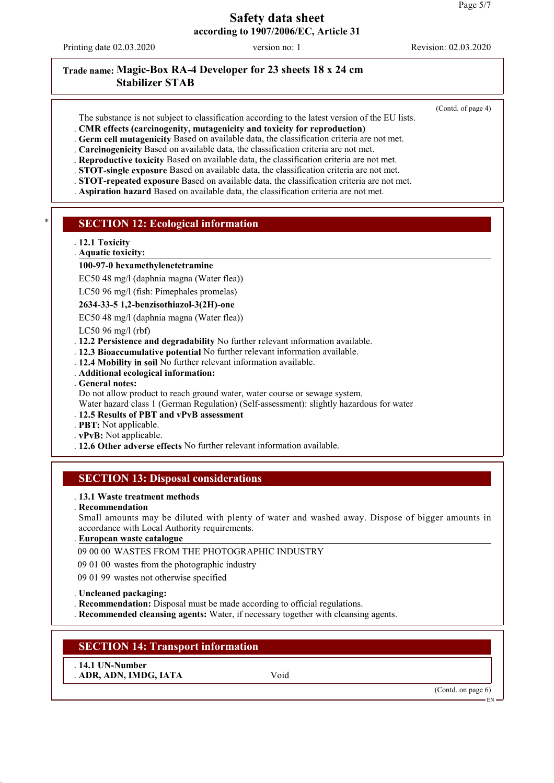Printing date 02.03.2020 version no: 1 Revision: 02.03.2020

(Contd. of page 4)

# **Trade name: Magic-Box RA-4 Developer for 23 sheets 18 x 24 cm Stabilizer STAB**

- The substance is not subject to classification according to the latest version of the EU lists.
- . **CMR effects (carcinogenity, mutagenicity and toxicity for reproduction)**
- . **Germ cell mutagenicity** Based on available data, the classification criteria are not met.
- . **Carcinogenicity** Based on available data, the classification criteria are not met.
- . **Reproductive toxicity** Based on available data, the classification criteria are not met.
- . **STOT-single exposure** Based on available data, the classification criteria are not met.
- . **STOT-repeated exposure** Based on available data, the classification criteria are not met.
- . **Aspiration hazard** Based on available data, the classification criteria are not met.

#### **SECTION 12: Ecological information**

- . **12.1 Toxicity**
- **Aquatic toxicity:** .

#### **100-97-0 hexamethylenetetramine**

EC50 48 mg/l (daphnia magna (Water flea))

LC50 96 mg/l (fish: Pimephales promelas)

#### **2634-33-5 1,2-benzisothiazol-3(2H)-one**

EC50 48 mg/l (daphnia magna (Water flea))

LC50 96 mg/l (rbf)

- . **12.2 Persistence and degradability** No further relevant information available.
- . **12.3 Bioaccumulative potential** No further relevant information available.
- . **12.4 Mobility in soil** No further relevant information available.
- . **Additional ecological information:**
- . **General notes:**

Do not allow product to reach ground water, water course or sewage system.

Water hazard class 1 (German Regulation) (Self-assessment): slightly hazardous for water

#### . **12.5 Results of PBT and vPvB assessment**

- . **PBT:** Not applicable.
- . **vPvB:** Not applicable.
- . **12.6 Other adverse effects** No further relevant information available.

### **SECTION 13: Disposal considerations**

#### . **13.1 Waste treatment methods**

. **Recommendation**

Small amounts may be diluted with plenty of water and washed away. Dispose of bigger amounts in accordance with Local Authority requirements.

#### **European waste catalogue** .

09 00 00 WASTES FROM THE PHOTOGRAPHIC INDUSTRY

09 01 00 wastes from the photographic industry

09 01 99 wastes not otherwise specified

. **Uncleaned packaging:**

. **Recommendation:** Disposal must be made according to official regulations.

. **Recommended cleansing agents:** Water, if necessary together with cleansing agents.

### **SECTION 14: Transport information**

. **14.1 UN-Number** . **ADR, ADN, IMDG, IATA** Void

(Contd. on page 6)

EN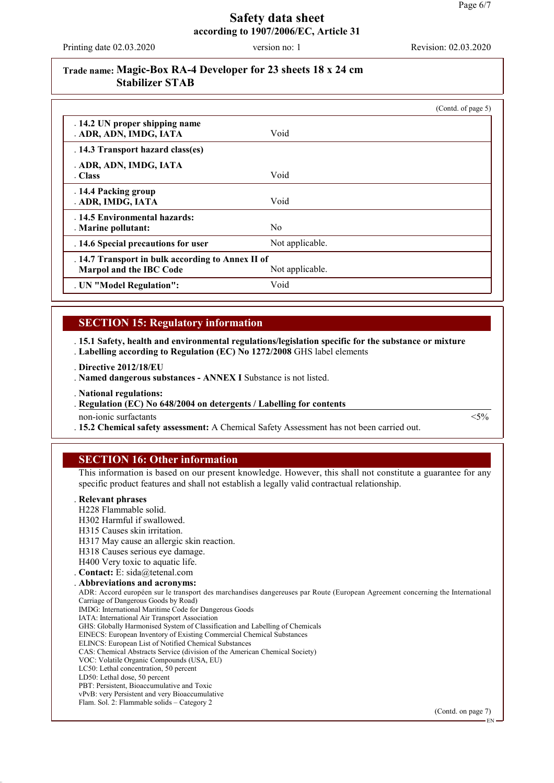Printing date 02.03.2020 version no: 1 Revision: 02.03.2020

## **Trade name: Magic-Box RA-4 Developer for 23 sheets 18 x 24 cm Stabilizer STAB**

|                                                          |                 | (Contd. of page 5) |
|----------------------------------------------------------|-----------------|--------------------|
| . 14.2 UN proper shipping name<br>. ADR, ADN, IMDG, IATA | Void            |                    |
| . 14.3 Transport hazard class(es)                        |                 |                    |
| . ADR, ADN, IMDG, IATA<br>. Class                        | Void            |                    |
|                                                          |                 |                    |
| . 14.4 Packing group<br>. ADR, IMDG, IATA                | Void            |                    |
| . 14.5 Environmental hazards:<br>. Marine pollutant:     | N <sub>0</sub>  |                    |
| . 14.6 Special precautions for user                      | Not applicable. |                    |
| . 14.7 Transport in bulk according to Annex II of        |                 |                    |
| Marpol and the IBC Code                                  | Not applicable. |                    |
| . UN "Model Regulation":                                 | Void            |                    |

### **SECTION 15: Regulatory information**

. **15.1 Safety, health and environmental regulations/legislation specific for the substance or mixture** . **Labelling according to Regulation (EC) No 1272/2008** GHS label elements

. **Directive 2012/18/EU**

. **Named dangerous substances - ANNEX I** Substance is not listed.

. **National regulations:**

. Regulation (EC) No 648/2004 on detergents / Labelling for contents

non-ionic surfactants  $\langle 5\%$ 

. **15.2 Chemical safety assessment:** A Chemical Safety Assessment has not been carried out.

### **SECTION 16: Other information**

This information is based on our present knowledge. However, this shall not constitute a guarantee for any specific product features and shall not establish a legally valid contractual relationship.

#### . **Relevant phrases**

- H228 Flammable solid.
- H302 Harmful if swallowed.
- H315 Causes skin irritation.
- H317 May cause an allergic skin reaction.
- H318 Causes serious eye damage.
- H400 Very toxic to aquatic life.
- . **Contact:** E: sida@tetenal.com
- . **Abbreviations and acronyms:**

ADR: Accord européen sur le transport des marchandises dangereuses par Route (European Agreement concerning the International Carriage of Dangerous Goods by Road)

- IMDG: International Maritime Code for Dangerous Goods IATA: International Air Transport Association
- GHS: Globally Harmonised System of Classification and Labelling of Chemicals
- EINECS: European Inventory of Existing Commercial Chemical Substances
- ELINCS: European List of Notified Chemical Substances
- CAS: Chemical Abstracts Service (division of the American Chemical Society)
- VOC: Volatile Organic Compounds (USA, EU)
- LC50: Lethal concentration, 50 percent
- LD50: Lethal dose, 50 percent
- PBT: Persistent, Bioaccumulative and Toxic vPvB: very Persistent and very Bioaccumulative
- Flam. Sol. 2: Flammable solids Category 2

(Contd. on page 7)

EN